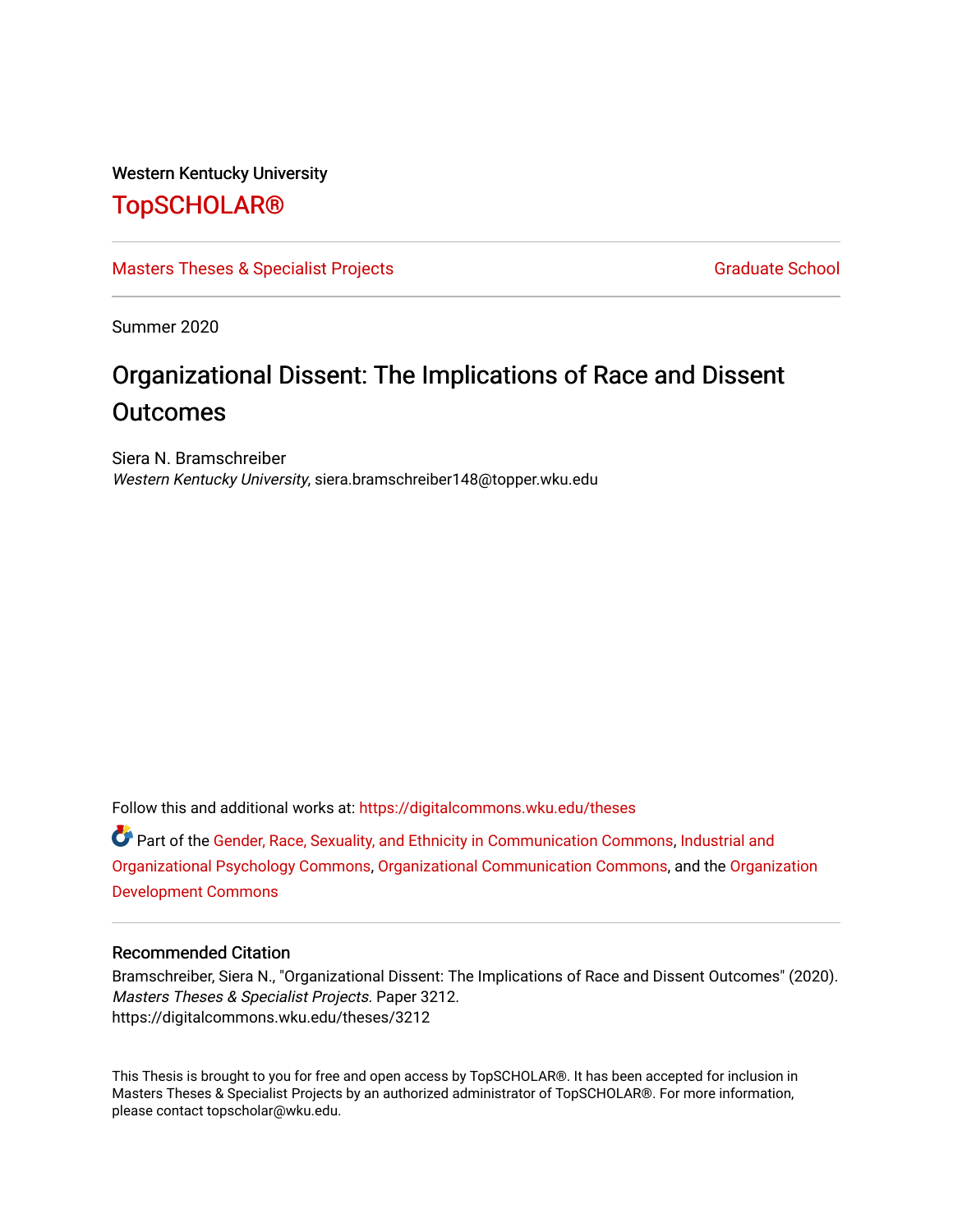#### Western Kentucky University

# [TopSCHOLAR®](https://digitalcommons.wku.edu/)

#### [Masters Theses & Specialist Projects](https://digitalcommons.wku.edu/theses) [Graduate School](https://digitalcommons.wku.edu/Graduate) Craduate School Craduate School

Summer 2020

# Organizational Dissent: The Implications of Race and Dissent **Outcomes**

Siera N. Bramschreiber Western Kentucky University, siera.bramschreiber148@topper.wku.edu

Follow this and additional works at: [https://digitalcommons.wku.edu/theses](https://digitalcommons.wku.edu/theses?utm_source=digitalcommons.wku.edu%2Ftheses%2F3212&utm_medium=PDF&utm_campaign=PDFCoverPages) 

Part of the [Gender, Race, Sexuality, and Ethnicity in Communication Commons,](http://network.bepress.com/hgg/discipline/329?utm_source=digitalcommons.wku.edu%2Ftheses%2F3212&utm_medium=PDF&utm_campaign=PDFCoverPages) [Industrial and](http://network.bepress.com/hgg/discipline/412?utm_source=digitalcommons.wku.edu%2Ftheses%2F3212&utm_medium=PDF&utm_campaign=PDFCoverPages)  [Organizational Psychology Commons](http://network.bepress.com/hgg/discipline/412?utm_source=digitalcommons.wku.edu%2Ftheses%2F3212&utm_medium=PDF&utm_campaign=PDFCoverPages), [Organizational Communication Commons](http://network.bepress.com/hgg/discipline/335?utm_source=digitalcommons.wku.edu%2Ftheses%2F3212&utm_medium=PDF&utm_campaign=PDFCoverPages), and the [Organization](http://network.bepress.com/hgg/discipline/1242?utm_source=digitalcommons.wku.edu%2Ftheses%2F3212&utm_medium=PDF&utm_campaign=PDFCoverPages)  [Development Commons](http://network.bepress.com/hgg/discipline/1242?utm_source=digitalcommons.wku.edu%2Ftheses%2F3212&utm_medium=PDF&utm_campaign=PDFCoverPages) 

#### Recommended Citation

Bramschreiber, Siera N., "Organizational Dissent: The Implications of Race and Dissent Outcomes" (2020). Masters Theses & Specialist Projects. Paper 3212. https://digitalcommons.wku.edu/theses/3212

This Thesis is brought to you for free and open access by TopSCHOLAR®. It has been accepted for inclusion in Masters Theses & Specialist Projects by an authorized administrator of TopSCHOLAR®. For more information, please contact topscholar@wku.edu.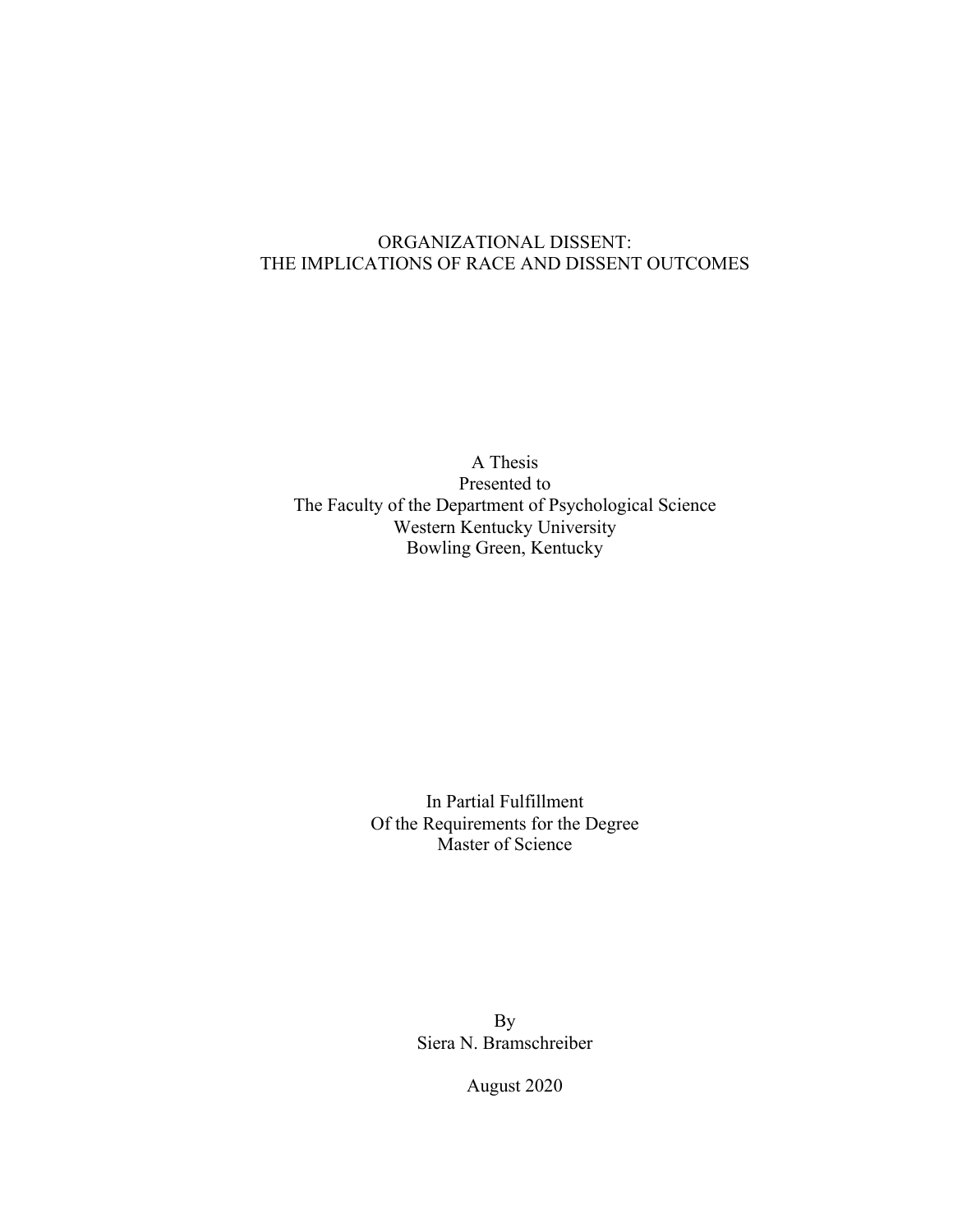# ORGANIZATIONAL DISSENT: THE IMPLICATIONS OF RACE AND DISSENT OUTCOMES

A Thesis Presented to The Faculty of the Department of Psychological Science Western Kentucky University Bowling Green, Kentucky

> In Partial Fulfillment Of the Requirements for the Degree Master of Science

> > By Siera N. Bramschreiber

> > > August 2020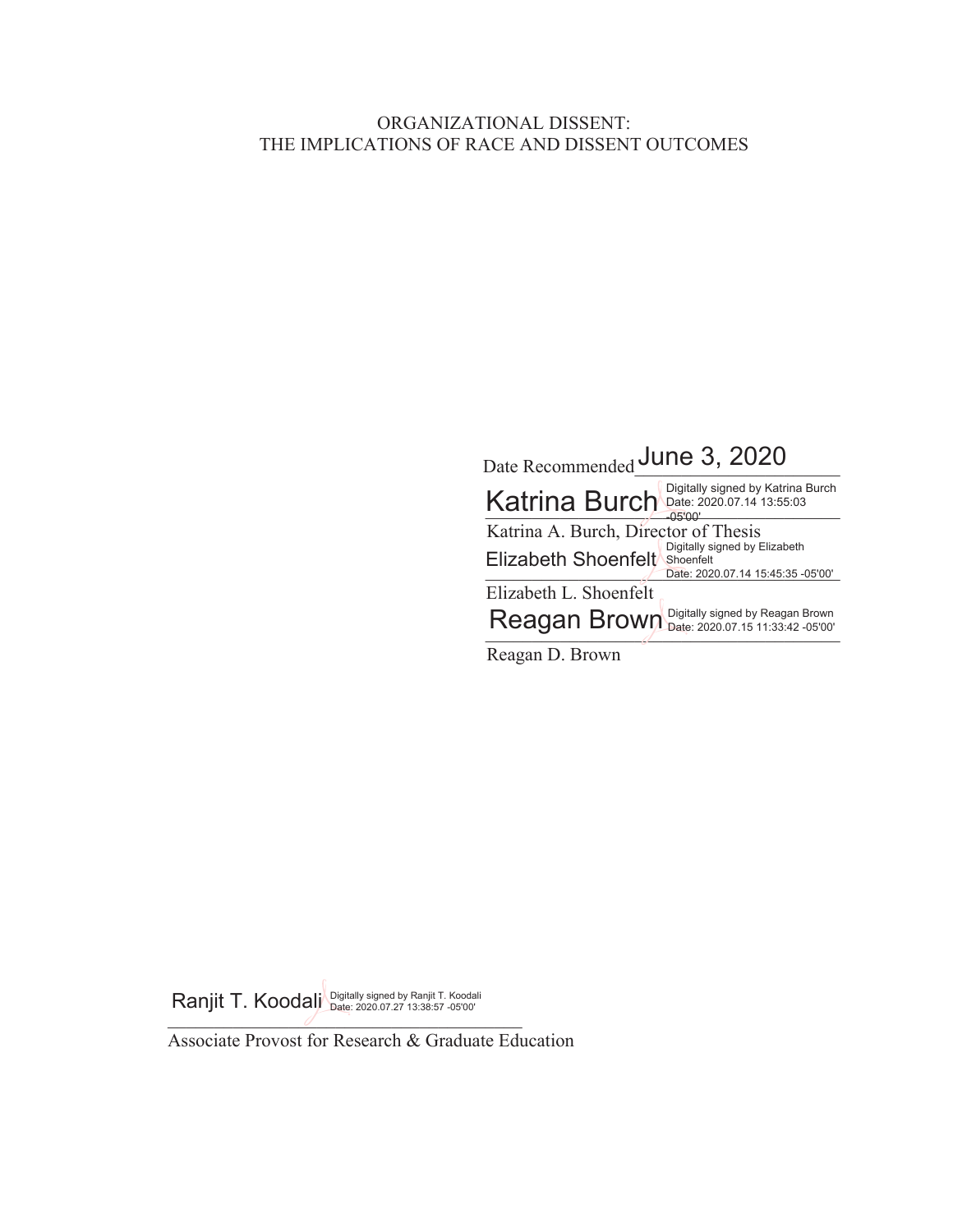# ORGANIZATIONAL DISSENT: THE IMPLICATIONS OF RACE AND DISSENT OUTCOMES

| Date Recommended June 3, 2020                                                                          |
|--------------------------------------------------------------------------------------------------------|
| Katrina Burch Digitally signed by Katrina Burch<br>-05'00'                                             |
| Katrina A. Burch, Director of Thesis                                                                   |
| Digitally signed by Elizabeth<br>Elizabeth Shoenfelt<br>Shoenfelt<br>Date: 2020.07.14 15:45:35 -05'00' |
| Elizabeth L. Shoenfelt                                                                                 |
| Reagan Brown Digitally signed by Reagan Brown                                                          |
| Reagan D. Brown                                                                                        |

 $\int$ Ranjit T. Koodalj Digitally signed by Ranjit T. Koodali

Associate Provost for Research & Graduate Education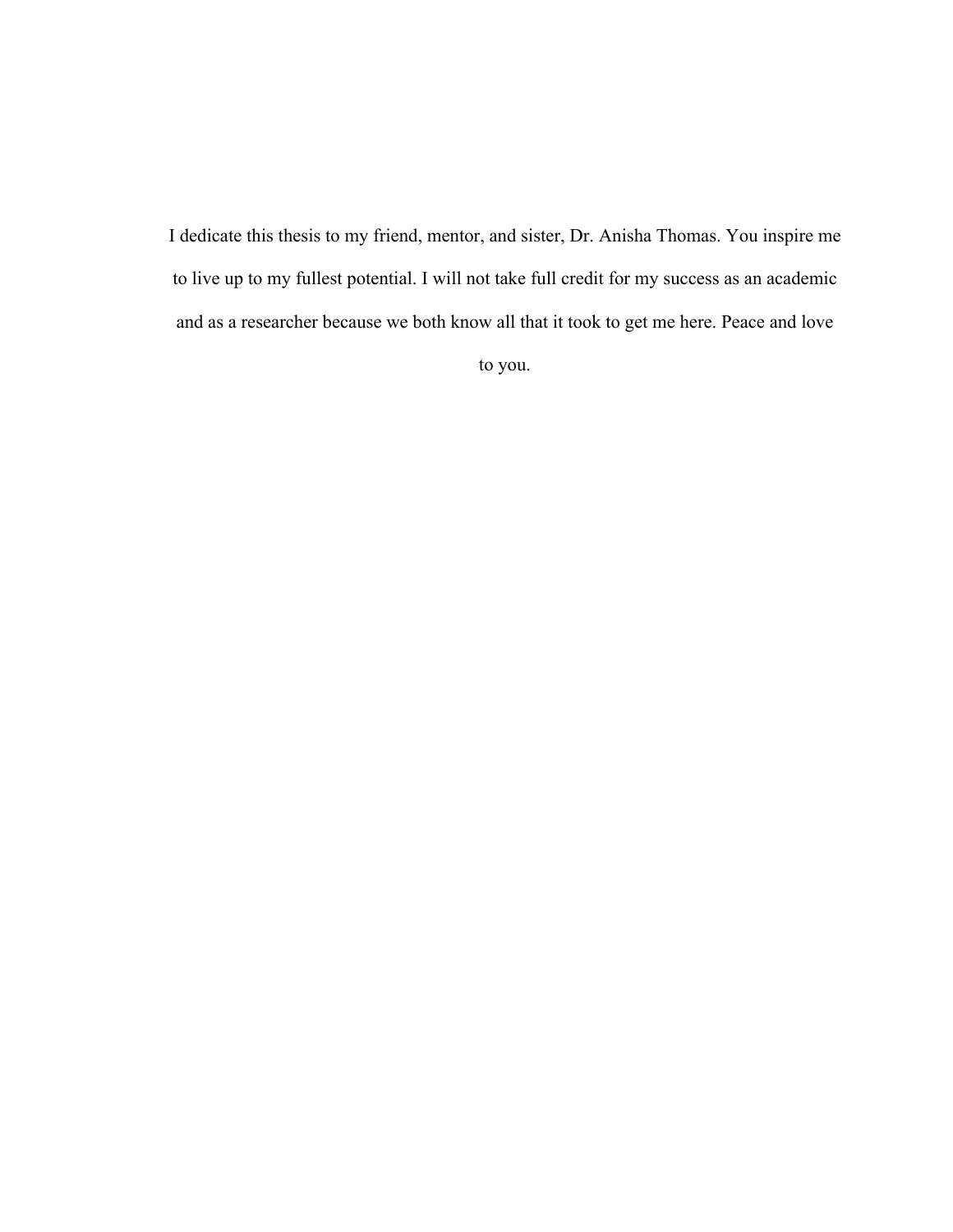I dedicate this thesis to my friend, mentor, and sister, Dr. Anisha Thomas. You inspire me to live up to my fullest potential. I will not take full credit for my success as an academic and as a researcher because we both know all that it took to get me here. Peace and love

to you.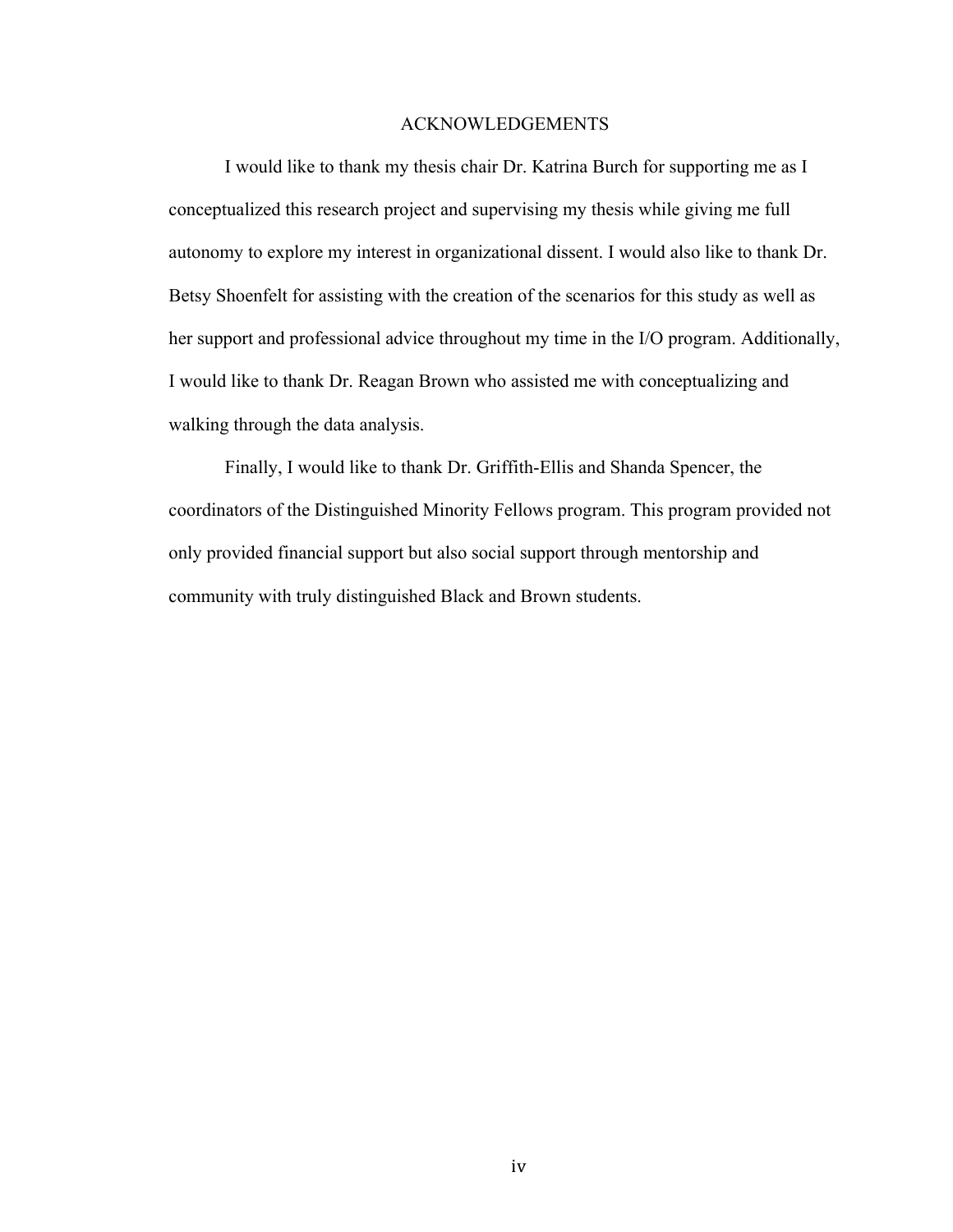#### ACKNOWLEDGEMENTS

I would like to thank my thesis chair Dr. Katrina Burch for supporting me as I conceptualized this research project and supervising my thesis while giving me full autonomy to explore my interest in organizational dissent. I would also like to thank Dr. Betsy Shoenfelt for assisting with the creation of the scenarios for this study as well as her support and professional advice throughout my time in the I/O program. Additionally, I would like to thank Dr. Reagan Brown who assisted me with conceptualizing and walking through the data analysis.

Finally, I would like to thank Dr. Griffith-Ellis and Shanda Spencer, the coordinators of the Distinguished Minority Fellows program. This program provided not only provided financial support but also social support through mentorship and community with truly distinguished Black and Brown students.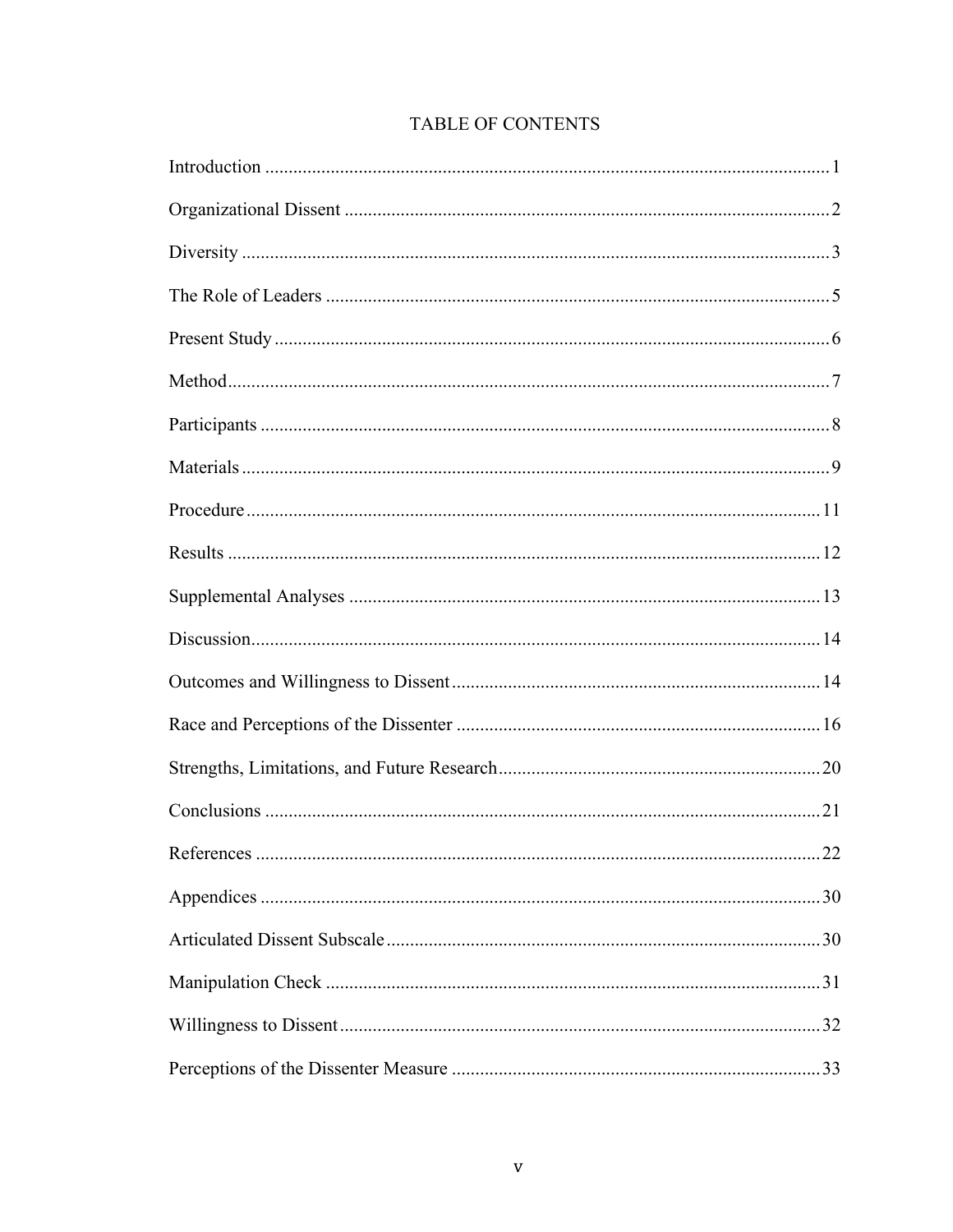# TABLE OF CONTENTS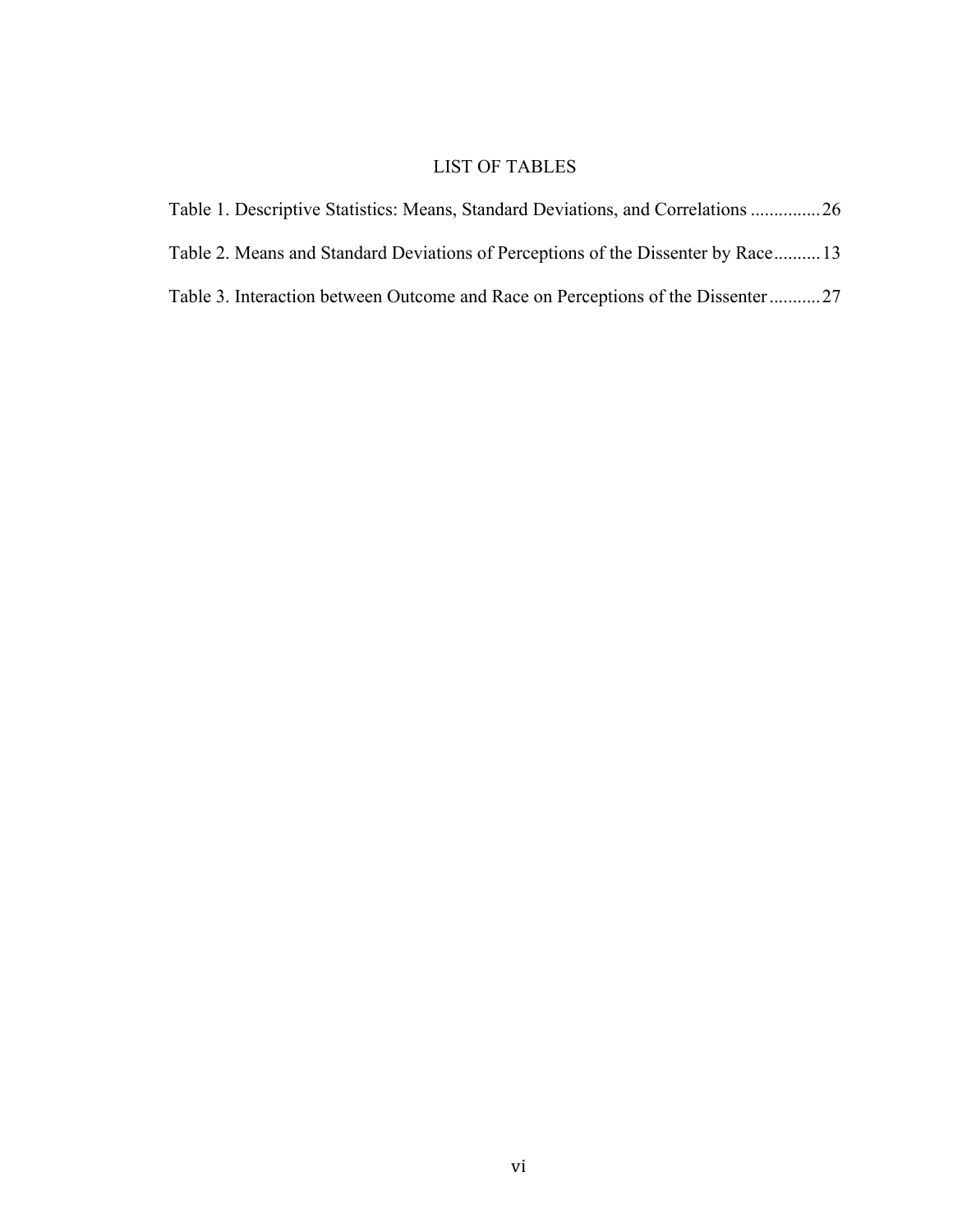# LIST OF TABLES

| Table 1. Descriptive Statistics: Means, Standard Deviations, and Correlations 26 |  |
|----------------------------------------------------------------------------------|--|
| Table 2. Means and Standard Deviations of Perceptions of the Dissenter by Race13 |  |
| Table 3. Interaction between Outcome and Race on Perceptions of the Dissenter27  |  |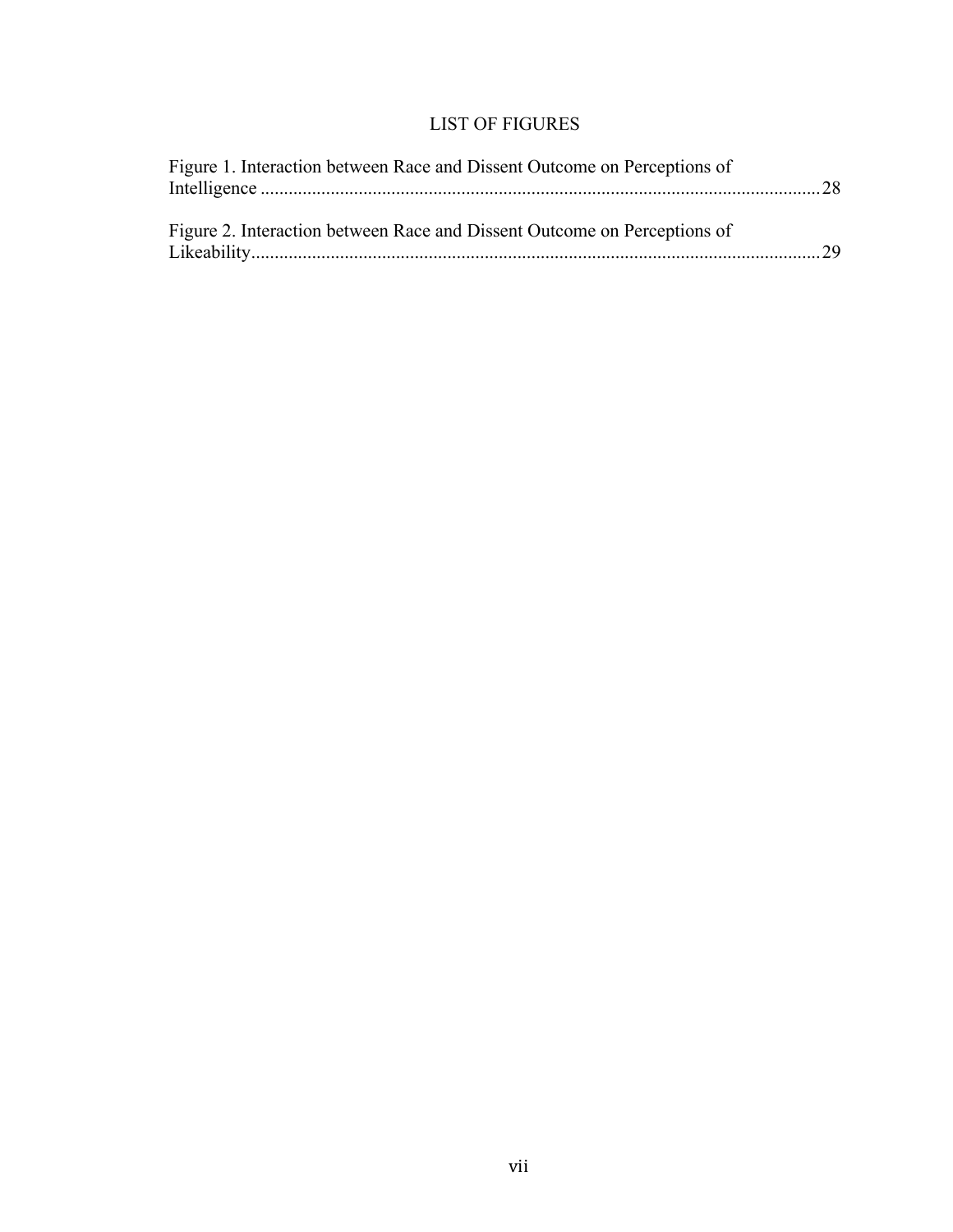# LIST OF FIGURES

| Figure 1. Interaction between Race and Dissent Outcome on Perceptions of |  |
|--------------------------------------------------------------------------|--|
| Figure 2. Interaction between Race and Dissent Outcome on Perceptions of |  |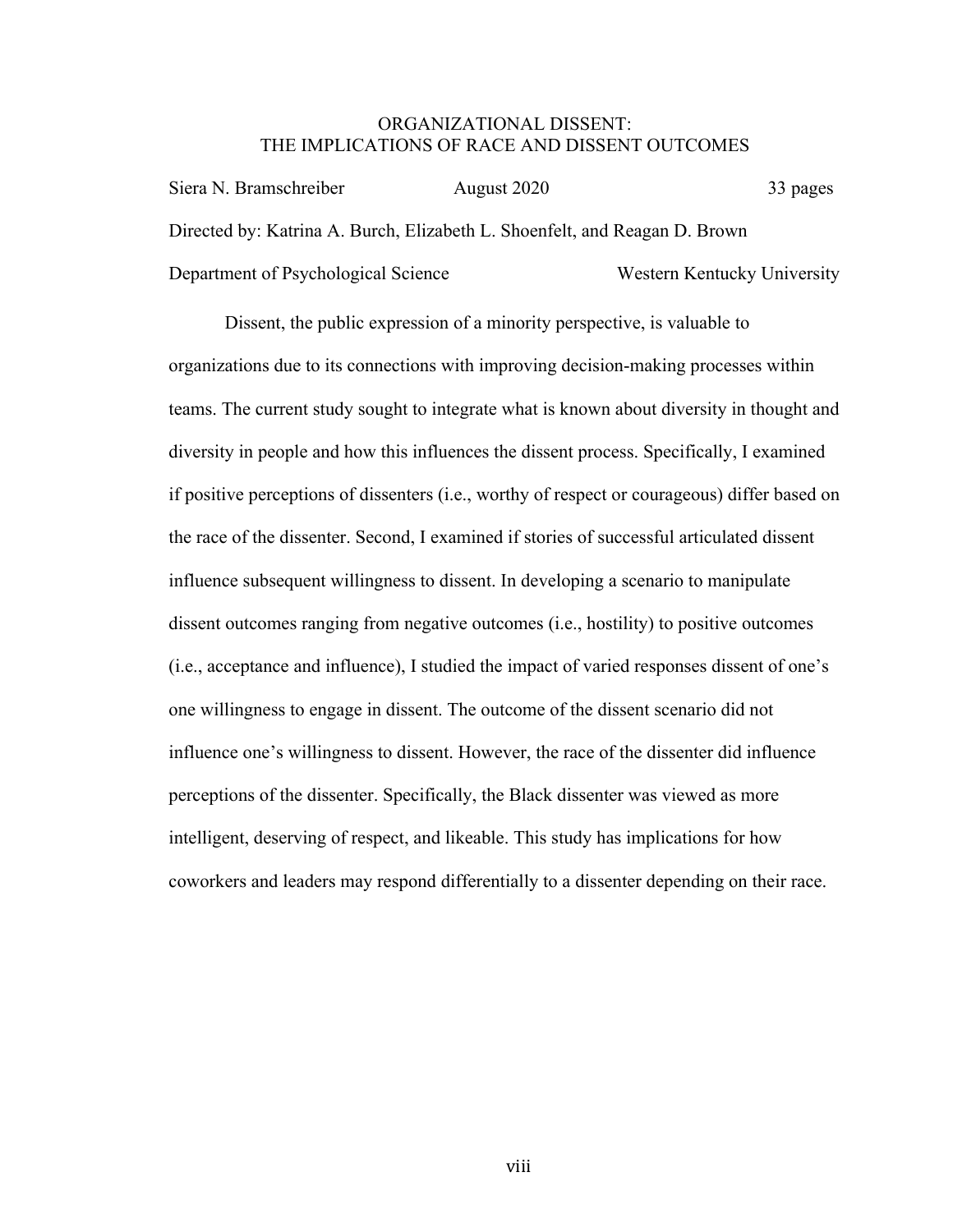### ORGANIZATIONAL DISSENT: THE IMPLICATIONS OF RACE AND DISSENT OUTCOMES

| Siera N. Bramschreiber                                                     | August 2020 | 33 pages                    |
|----------------------------------------------------------------------------|-------------|-----------------------------|
| Directed by: Katrina A. Burch, Elizabeth L. Shoenfelt, and Reagan D. Brown |             |                             |
| Department of Psychological Science                                        |             | Western Kentucky University |

Dissent, the public expression of a minority perspective, is valuable to organizations due to its connections with improving decision-making processes within teams. The current study sought to integrate what is known about diversity in thought and diversity in people and how this influences the dissent process. Specifically, I examined if positive perceptions of dissenters (i.e., worthy of respect or courageous) differ based on the race of the dissenter. Second, I examined if stories of successful articulated dissent influence subsequent willingness to dissent. In developing a scenario to manipulate dissent outcomes ranging from negative outcomes (i.e., hostility) to positive outcomes (i.e., acceptance and influence), I studied the impact of varied responses dissent of one's one willingness to engage in dissent. The outcome of the dissent scenario did not influence one's willingness to dissent. However, the race of the dissenter did influence perceptions of the dissenter. Specifically, the Black dissenter was viewed as more intelligent, deserving of respect, and likeable. This study has implications for how coworkers and leaders may respond differentially to a dissenter depending on their race.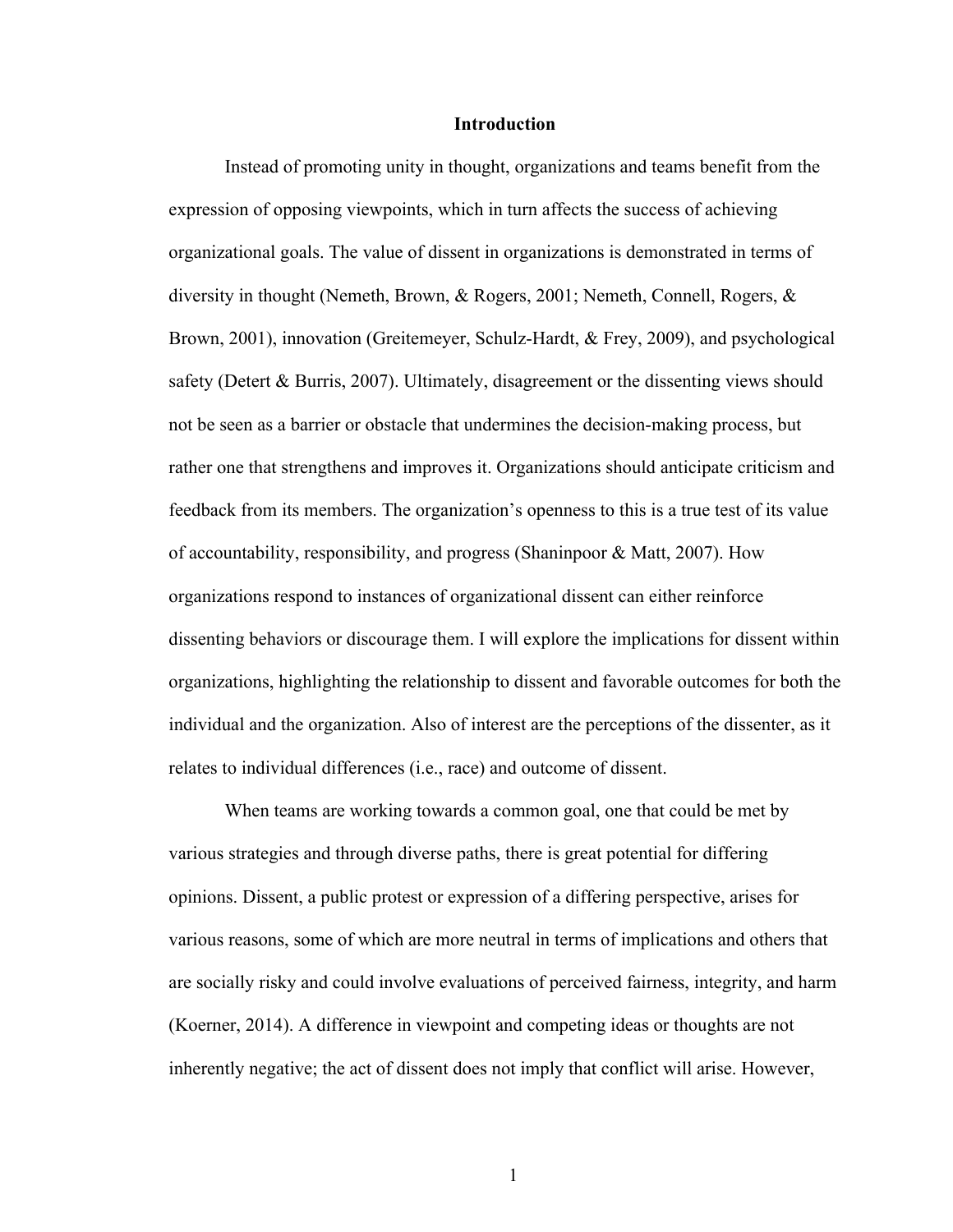#### **Introduction**

Instead of promoting unity in thought, organizations and teams benefit from the expression of opposing viewpoints, which in turn affects the success of achieving organizational goals. The value of dissent in organizations is demonstrated in terms of diversity in thought (Nemeth, Brown, & Rogers, 2001; Nemeth, Connell, Rogers, & Brown, 2001), innovation (Greitemeyer, Schulz-Hardt, & Frey, 2009), and psychological safety (Detert & Burris, 2007). Ultimately, disagreement or the dissenting views should not be seen as a barrier or obstacle that undermines the decision-making process, but rather one that strengthens and improves it. Organizations should anticipate criticism and feedback from its members. The organization's openness to this is a true test of its value of accountability, responsibility, and progress (Shaninpoor & Matt, 2007). How organizations respond to instances of organizational dissent can either reinforce dissenting behaviors or discourage them. I will explore the implications for dissent within organizations, highlighting the relationship to dissent and favorable outcomes for both the individual and the organization. Also of interest are the perceptions of the dissenter, as it relates to individual differences (i.e., race) and outcome of dissent.

When teams are working towards a common goal, one that could be met by various strategies and through diverse paths, there is great potential for differing opinions. Dissent, a public protest or expression of a differing perspective, arises for various reasons, some of which are more neutral in terms of implications and others that are socially risky and could involve evaluations of perceived fairness, integrity, and harm (Koerner, 2014). A difference in viewpoint and competing ideas or thoughts are not inherently negative; the act of dissent does not imply that conflict will arise. However,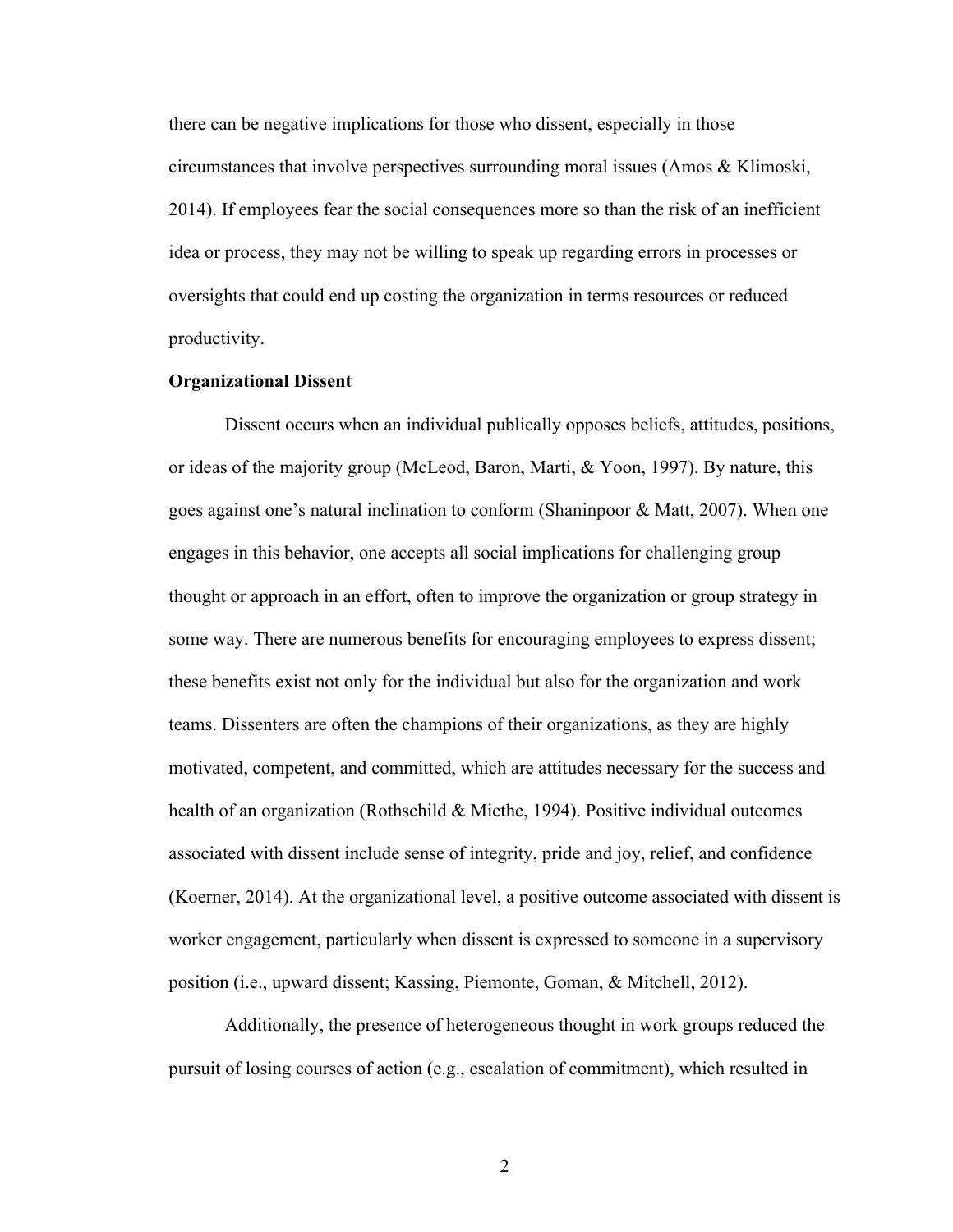there can be negative implications for those who dissent, especially in those circumstances that involve perspectives surrounding moral issues (Amos & Klimoski, 2014). If employees fear the social consequences more so than the risk of an inefficient idea or process, they may not be willing to speak up regarding errors in processes or oversights that could end up costing the organization in terms resources or reduced productivity.

#### **Organizational Dissent**

Dissent occurs when an individual publically opposes beliefs, attitudes, positions, or ideas of the majority group (McLeod, Baron, Marti, & Yoon, 1997). By nature, this goes against one's natural inclination to conform (Shaninpoor & Matt, 2007). When one engages in this behavior, one accepts all social implications for challenging group thought or approach in an effort, often to improve the organization or group strategy in some way. There are numerous benefits for encouraging employees to express dissent; these benefits exist not only for the individual but also for the organization and work teams. Dissenters are often the champions of their organizations, as they are highly motivated, competent, and committed, which are attitudes necessary for the success and health of an organization (Rothschild & Miethe, 1994). Positive individual outcomes associated with dissent include sense of integrity, pride and joy, relief, and confidence (Koerner, 2014). At the organizational level, a positive outcome associated with dissent is worker engagement, particularly when dissent is expressed to someone in a supervisory position (i.e., upward dissent; Kassing, Piemonte, Goman, & Mitchell, 2012).

Additionally, the presence of heterogeneous thought in work groups reduced the pursuit of losing courses of action (e.g., escalation of commitment), which resulted in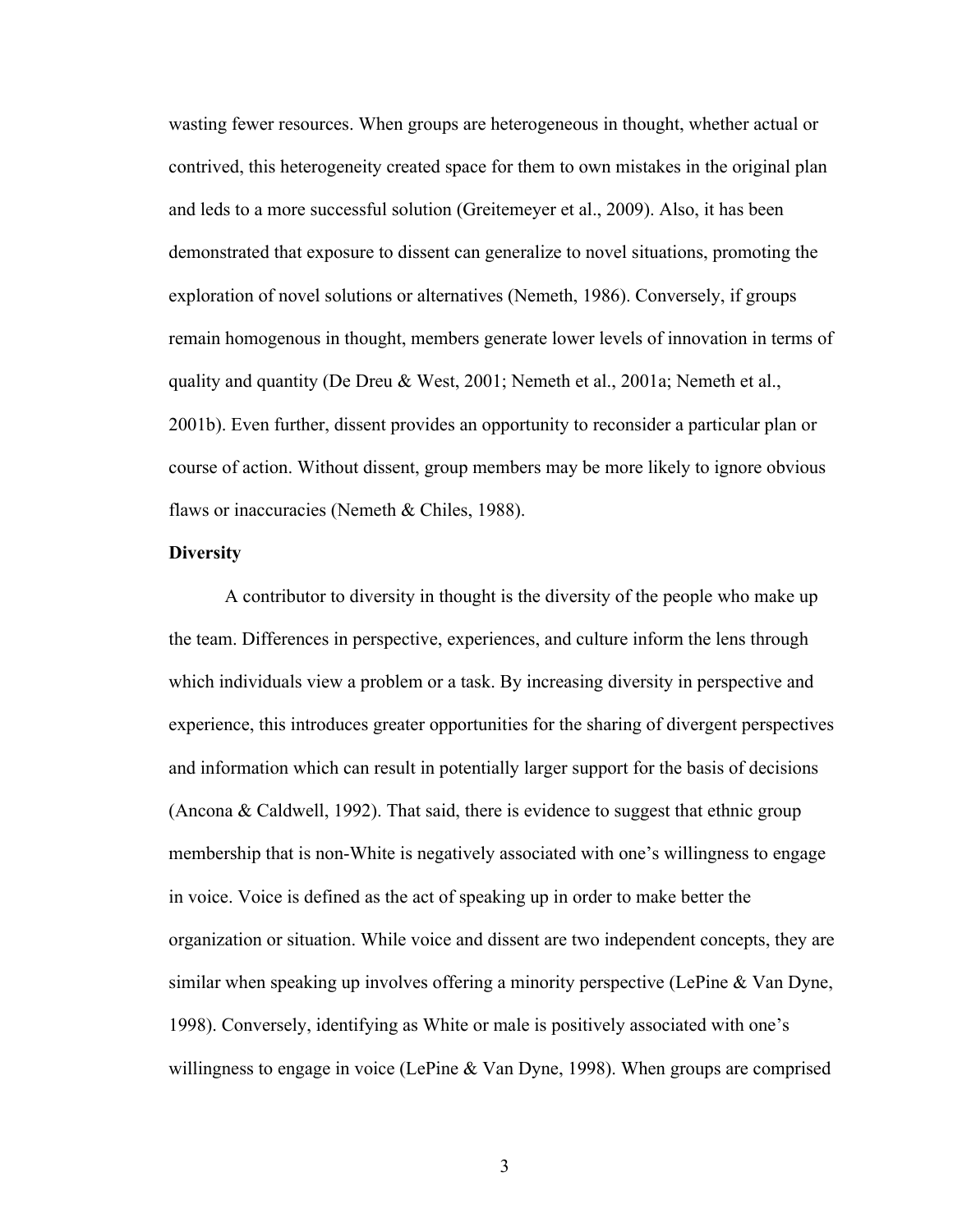wasting fewer resources. When groups are heterogeneous in thought, whether actual or contrived, this heterogeneity created space for them to own mistakes in the original plan and leds to a more successful solution (Greitemeyer et al., 2009). Also, it has been demonstrated that exposure to dissent can generalize to novel situations, promoting the exploration of novel solutions or alternatives (Nemeth, 1986). Conversely, if groups remain homogenous in thought, members generate lower levels of innovation in terms of quality and quantity (De Dreu & West, 2001; Nemeth et al., 2001a; Nemeth et al., 2001b). Even further, dissent provides an opportunity to reconsider a particular plan or course of action. Without dissent, group members may be more likely to ignore obvious flaws or inaccuracies (Nemeth & Chiles, 1988).

#### **Diversity**

A contributor to diversity in thought is the diversity of the people who make up the team. Differences in perspective, experiences, and culture inform the lens through which individuals view a problem or a task. By increasing diversity in perspective and experience, this introduces greater opportunities for the sharing of divergent perspectives and information which can result in potentially larger support for the basis of decisions (Ancona & Caldwell, 1992). That said, there is evidence to suggest that ethnic group membership that is non-White is negatively associated with one's willingness to engage in voice. Voice is defined as the act of speaking up in order to make better the organization or situation. While voice and dissent are two independent concepts, they are similar when speaking up involves offering a minority perspective (LePine & Van Dyne, 1998). Conversely, identifying as White or male is positively associated with one's willingness to engage in voice (LePine & Van Dyne, 1998). When groups are comprised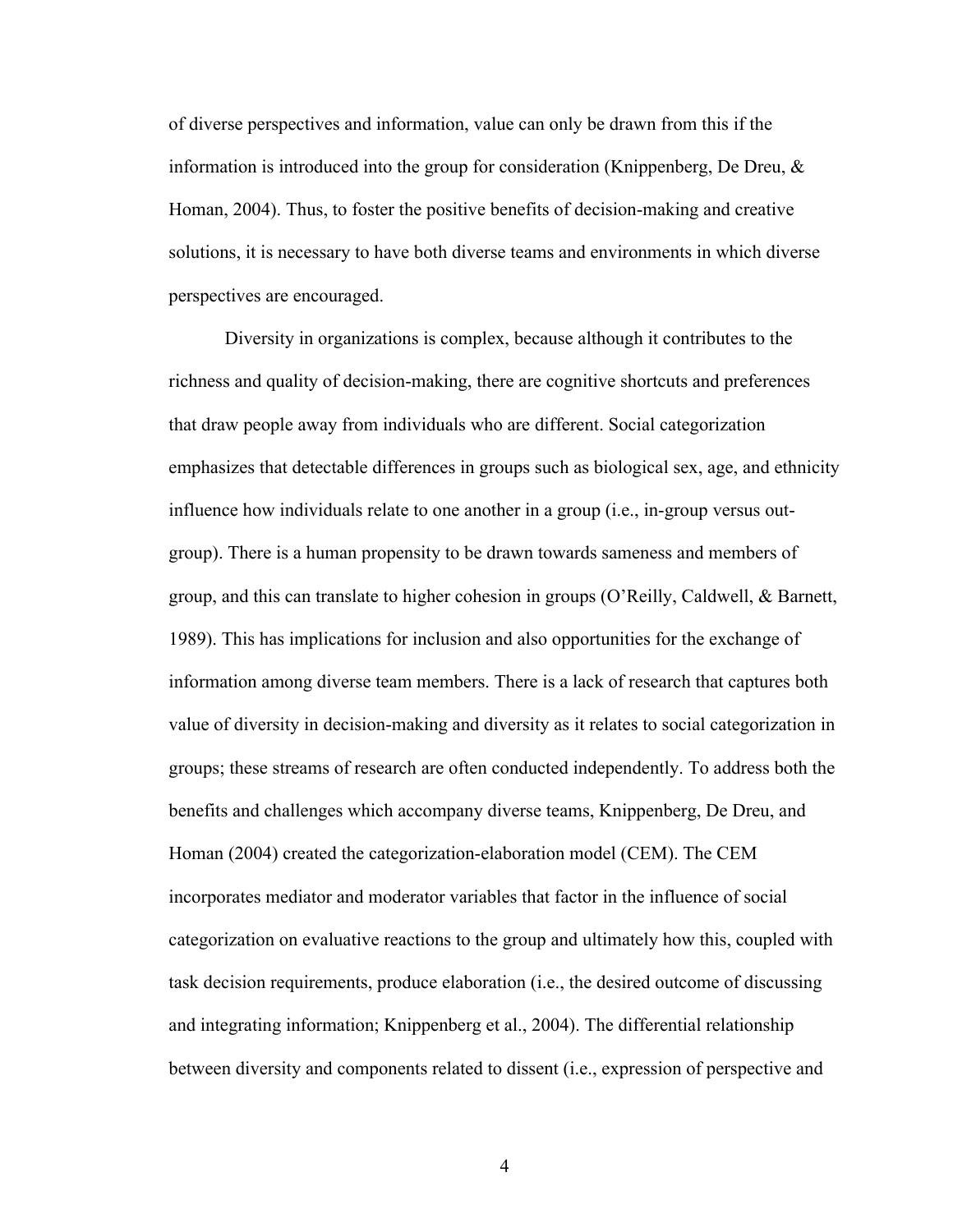of diverse perspectives and information, value can only be drawn from this if the information is introduced into the group for consideration (Knippenberg, De Dreu,  $\&$ Homan, 2004). Thus, to foster the positive benefits of decision-making and creative solutions, it is necessary to have both diverse teams and environments in which diverse perspectives are encouraged.

Diversity in organizations is complex, because although it contributes to the richness and quality of decision-making, there are cognitive shortcuts and preferences that draw people away from individuals who are different. Social categorization emphasizes that detectable differences in groups such as biological sex, age, and ethnicity influence how individuals relate to one another in a group (i.e., in-group versus outgroup). There is a human propensity to be drawn towards sameness and members of group, and this can translate to higher cohesion in groups (O'Reilly, Caldwell, & Barnett, 1989). This has implications for inclusion and also opportunities for the exchange of information among diverse team members. There is a lack of research that captures both value of diversity in decision-making and diversity as it relates to social categorization in groups; these streams of research are often conducted independently. To address both the benefits and challenges which accompany diverse teams, Knippenberg, De Dreu, and Homan (2004) created the categorization-elaboration model (CEM). The CEM incorporates mediator and moderator variables that factor in the influence of social categorization on evaluative reactions to the group and ultimately how this, coupled with task decision requirements, produce elaboration (i.e., the desired outcome of discussing and integrating information; Knippenberg et al., 2004). The differential relationship between diversity and components related to dissent (i.e., expression of perspective and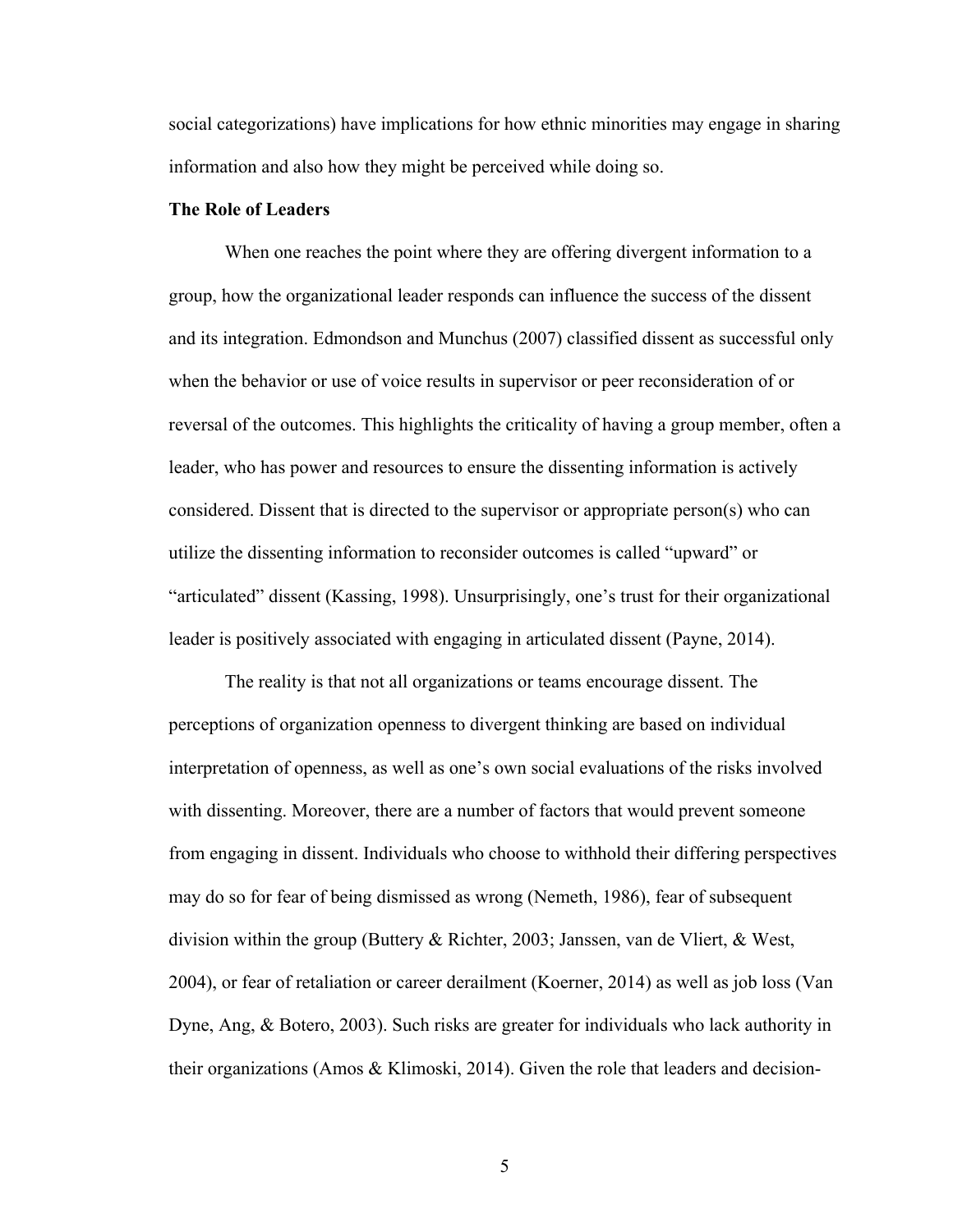social categorizations) have implications for how ethnic minorities may engage in sharing information and also how they might be perceived while doing so.

#### **The Role of Leaders**

When one reaches the point where they are offering divergent information to a group, how the organizational leader responds can influence the success of the dissent and its integration. Edmondson and Munchus (2007) classified dissent as successful only when the behavior or use of voice results in supervisor or peer reconsideration of or reversal of the outcomes. This highlights the criticality of having a group member, often a leader, who has power and resources to ensure the dissenting information is actively considered. Dissent that is directed to the supervisor or appropriate person(s) who can utilize the dissenting information to reconsider outcomes is called "upward" or "articulated" dissent (Kassing, 1998). Unsurprisingly, one's trust for their organizational leader is positively associated with engaging in articulated dissent (Payne, 2014).

The reality is that not all organizations or teams encourage dissent. The perceptions of organization openness to divergent thinking are based on individual interpretation of openness, as well as one's own social evaluations of the risks involved with dissenting. Moreover, there are a number of factors that would prevent someone from engaging in dissent. Individuals who choose to withhold their differing perspectives may do so for fear of being dismissed as wrong (Nemeth, 1986), fear of subsequent division within the group (Buttery & Richter, 2003; Janssen, van de Vliert, & West, 2004), or fear of retaliation or career derailment (Koerner, 2014) as well as job loss (Van Dyne, Ang, & Botero, 2003). Such risks are greater for individuals who lack authority in their organizations (Amos & Klimoski, 2014). Given the role that leaders and decision-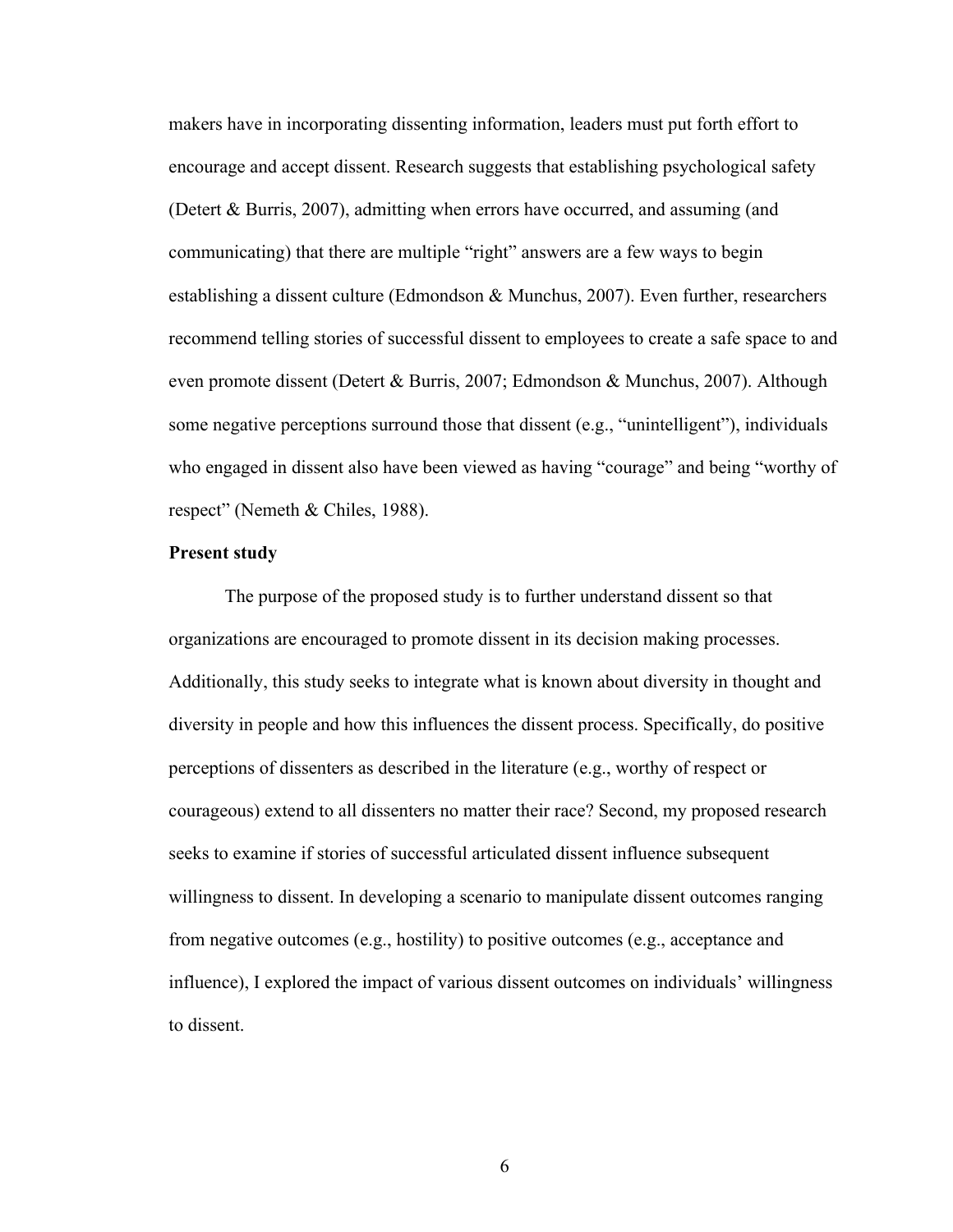makers have in incorporating dissenting information, leaders must put forth effort to encourage and accept dissent. Research suggests that establishing psychological safety (Detert & Burris, 2007), admitting when errors have occurred, and assuming (and communicating) that there are multiple "right" answers are a few ways to begin establishing a dissent culture (Edmondson & Munchus, 2007). Even further, researchers recommend telling stories of successful dissent to employees to create a safe space to and even promote dissent (Detert & Burris, 2007; Edmondson & Munchus, 2007). Although some negative perceptions surround those that dissent (e.g., "unintelligent"), individuals who engaged in dissent also have been viewed as having "courage" and being "worthy of respect" (Nemeth & Chiles, 1988).

#### **Present study**

The purpose of the proposed study is to further understand dissent so that organizations are encouraged to promote dissent in its decision making processes. Additionally, this study seeks to integrate what is known about diversity in thought and diversity in people and how this influences the dissent process. Specifically, do positive perceptions of dissenters as described in the literature (e.g., worthy of respect or courageous) extend to all dissenters no matter their race? Second, my proposed research seeks to examine if stories of successful articulated dissent influence subsequent willingness to dissent. In developing a scenario to manipulate dissent outcomes ranging from negative outcomes (e.g., hostility) to positive outcomes (e.g., acceptance and influence), I explored the impact of various dissent outcomes on individuals' willingness to dissent.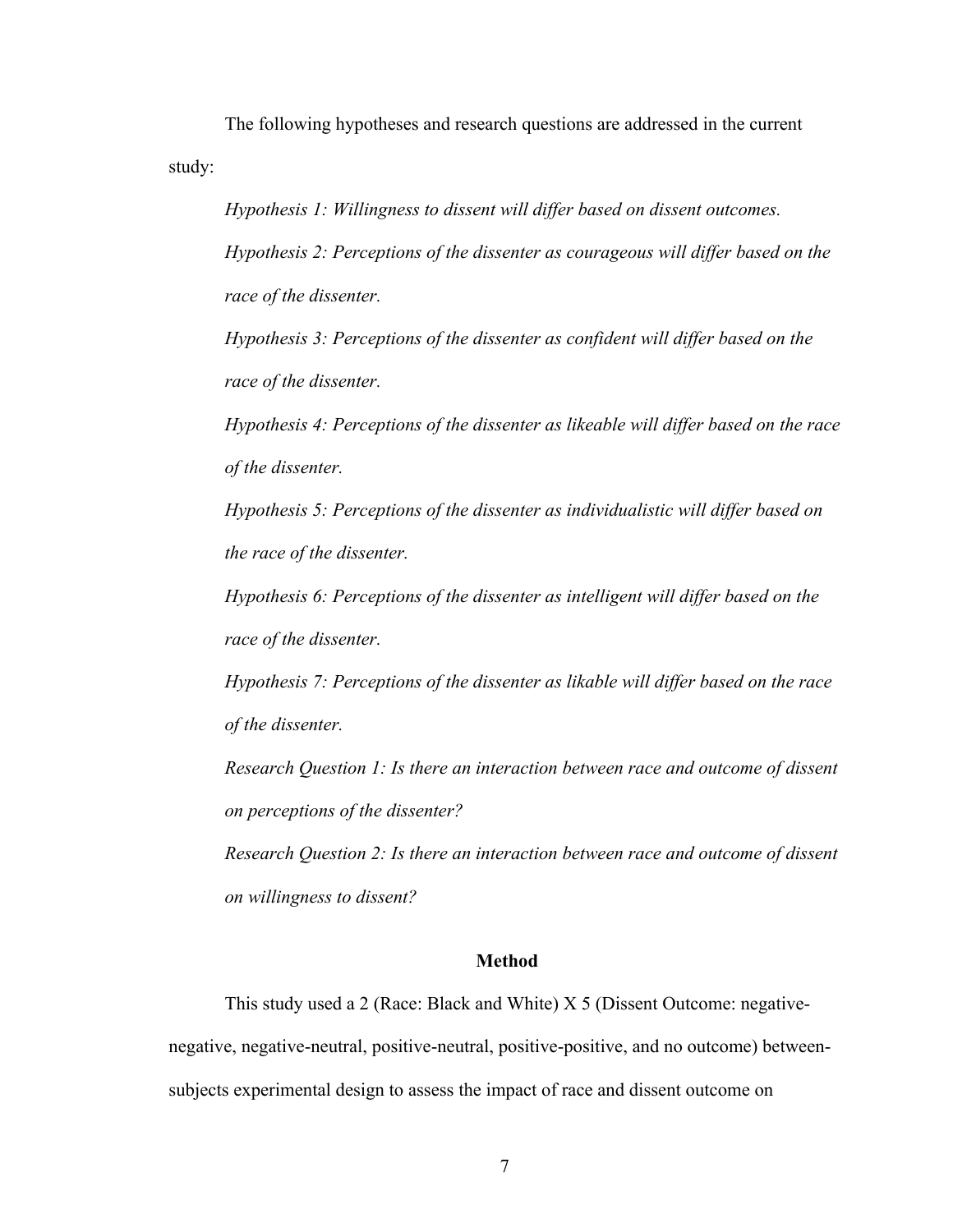The following hypotheses and research questions are addressed in the current study:

*Hypothesis 1: Willingness to dissent will differ based on dissent outcomes. Hypothesis 2: Perceptions of the dissenter as courageous will differ based on the race of the dissenter.* 

*Hypothesis 3: Perceptions of the dissenter as confident will differ based on the race of the dissenter.*

*Hypothesis 4: Perceptions of the dissenter as likeable will differ based on the race of the dissenter.*

*Hypothesis 5: Perceptions of the dissenter as individualistic will differ based on the race of the dissenter.* 

*Hypothesis 6: Perceptions of the dissenter as intelligent will differ based on the race of the dissenter.*

*Hypothesis 7: Perceptions of the dissenter as likable will differ based on the race of the dissenter.*

*Research Question 1: Is there an interaction between race and outcome of dissent on perceptions of the dissenter?* 

*Research Question 2: Is there an interaction between race and outcome of dissent on willingness to dissent?* 

#### **Method**

This study used a 2 (Race: Black and White) X 5 (Dissent Outcome: negativenegative, negative-neutral, positive-neutral, positive-positive, and no outcome) betweensubjects experimental design to assess the impact of race and dissent outcome on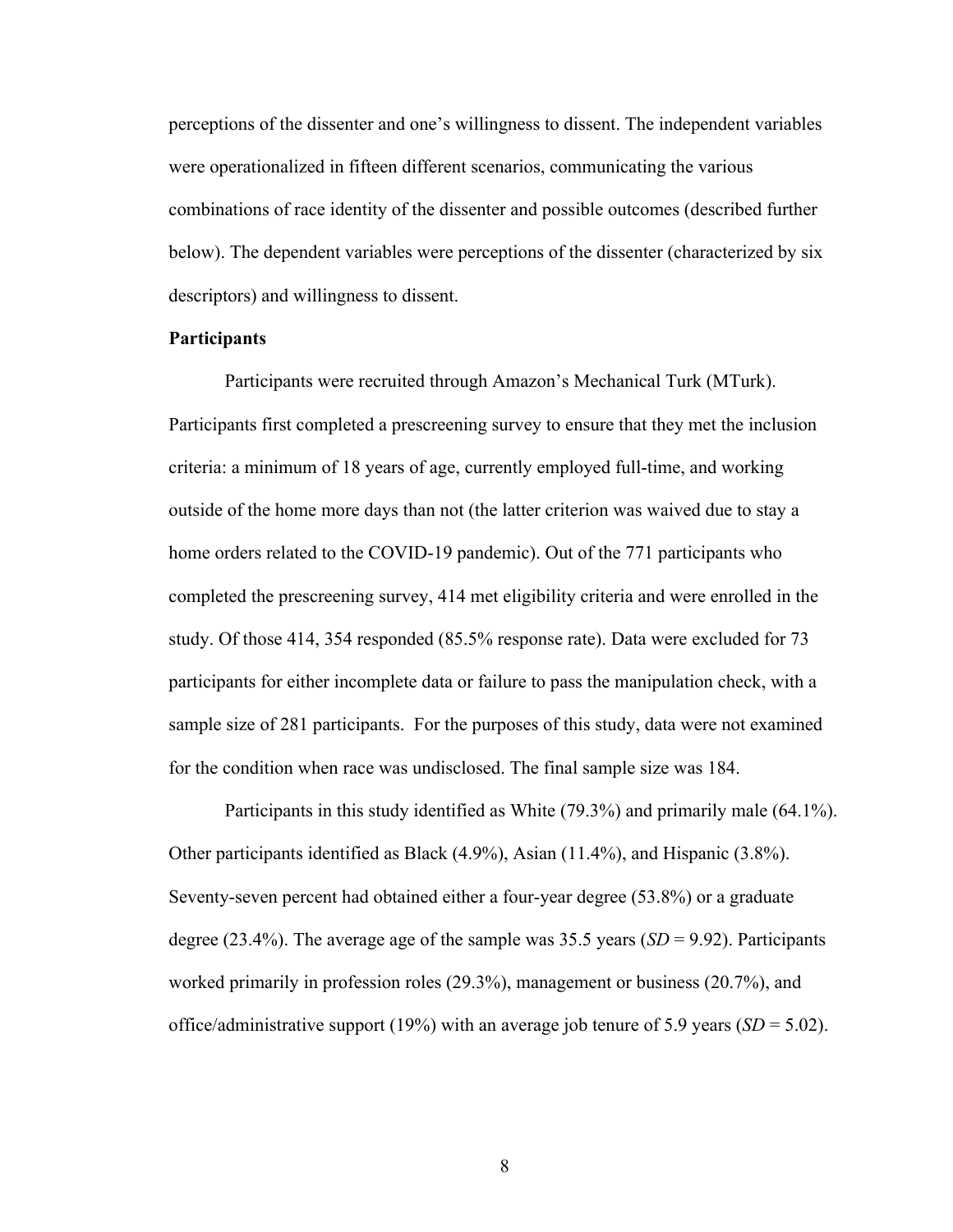perceptions of the dissenter and one's willingness to dissent. The independent variables were operationalized in fifteen different scenarios, communicating the various combinations of race identity of the dissenter and possible outcomes (described further below). The dependent variables were perceptions of the dissenter (characterized by six descriptors) and willingness to dissent.

#### **Participants**

Participants were recruited through Amazon's Mechanical Turk (MTurk). Participants first completed a prescreening survey to ensure that they met the inclusion criteria: a minimum of 18 years of age, currently employed full-time, and working outside of the home more days than not (the latter criterion was waived due to stay a home orders related to the COVID-19 pandemic). Out of the 771 participants who completed the prescreening survey, 414 met eligibility criteria and were enrolled in the study. Of those 414, 354 responded (85.5% response rate). Data were excluded for 73 participants for either incomplete data or failure to pass the manipulation check, with a sample size of 281 participants. For the purposes of this study, data were not examined for the condition when race was undisclosed. The final sample size was 184.

Participants in this study identified as White (79.3%) and primarily male (64.1%). Other participants identified as Black (4.9%), Asian (11.4%), and Hispanic (3.8%). Seventy-seven percent had obtained either a four-year degree (53.8%) or a graduate degree (23.4%). The average age of the sample was 35.5 years (*SD* = 9.92). Participants worked primarily in profession roles (29.3%), management or business (20.7%), and office/administrative support (19%) with an average job tenure of 5.9 years (*SD* = 5.02).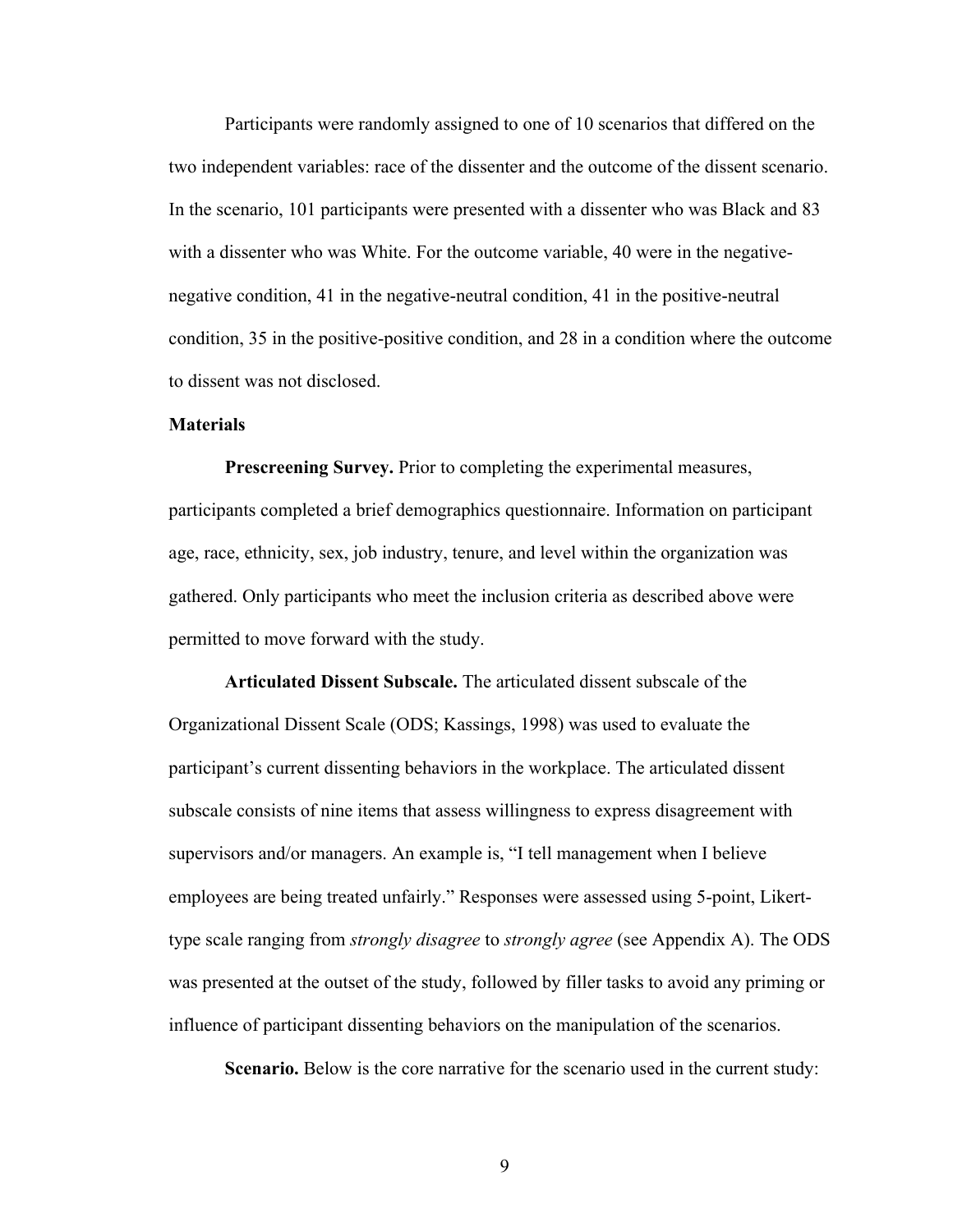Participants were randomly assigned to one of 10 scenarios that differed on the two independent variables: race of the dissenter and the outcome of the dissent scenario. In the scenario, 101 participants were presented with a dissenter who was Black and 83 with a dissenter who was White. For the outcome variable, 40 were in the negativenegative condition, 41 in the negative-neutral condition, 41 in the positive-neutral condition, 35 in the positive-positive condition, and 28 in a condition where the outcome to dissent was not disclosed.

#### **Materials**

**Prescreening Survey.** Prior to completing the experimental measures, participants completed a brief demographics questionnaire. Information on participant age, race, ethnicity, sex, job industry, tenure, and level within the organization was gathered. Only participants who meet the inclusion criteria as described above were permitted to move forward with the study.

**Articulated Dissent Subscale.** The articulated dissent subscale of the Organizational Dissent Scale (ODS; Kassings, 1998) was used to evaluate the participant's current dissenting behaviors in the workplace. The articulated dissent subscale consists of nine items that assess willingness to express disagreement with supervisors and/or managers. An example is, "I tell management when I believe employees are being treated unfairly." Responses were assessed using 5-point, Likerttype scale ranging from *strongly disagree* to *strongly agree* (see Appendix A). The ODS was presented at the outset of the study, followed by filler tasks to avoid any priming or influence of participant dissenting behaviors on the manipulation of the scenarios.

**Scenario.** Below is the core narrative for the scenario used in the current study: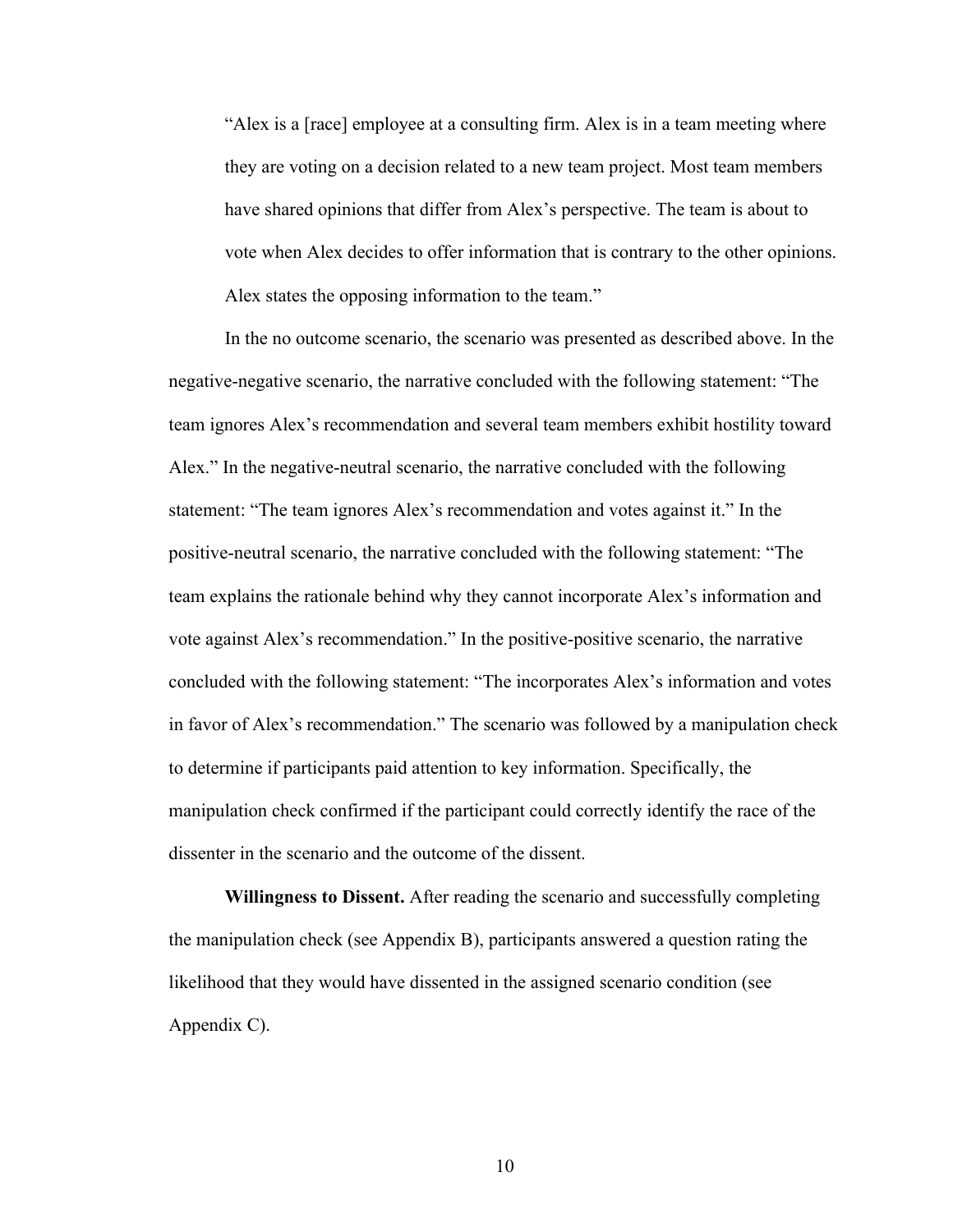"Alex is a [race] employee at a consulting firm. Alex is in a team meeting where they are voting on a decision related to a new team project. Most team members have shared opinions that differ from Alex's perspective. The team is about to vote when Alex decides to offer information that is contrary to the other opinions. Alex states the opposing information to the team."

In the no outcome scenario, the scenario was presented as described above. In the negative-negative scenario, the narrative concluded with the following statement: "The team ignores Alex's recommendation and several team members exhibit hostility toward Alex." In the negative-neutral scenario, the narrative concluded with the following statement: "The team ignores Alex's recommendation and votes against it." In the positive-neutral scenario, the narrative concluded with the following statement: "The team explains the rationale behind why they cannot incorporate Alex's information and vote against Alex's recommendation." In the positive-positive scenario, the narrative concluded with the following statement: "The incorporates Alex's information and votes in favor of Alex's recommendation." The scenario was followed by a manipulation check to determine if participants paid attention to key information. Specifically, the manipulation check confirmed if the participant could correctly identify the race of the dissenter in the scenario and the outcome of the dissent.

**Willingness to Dissent.** After reading the scenario and successfully completing the manipulation check (see Appendix B), participants answered a question rating the likelihood that they would have dissented in the assigned scenario condition (see Appendix C).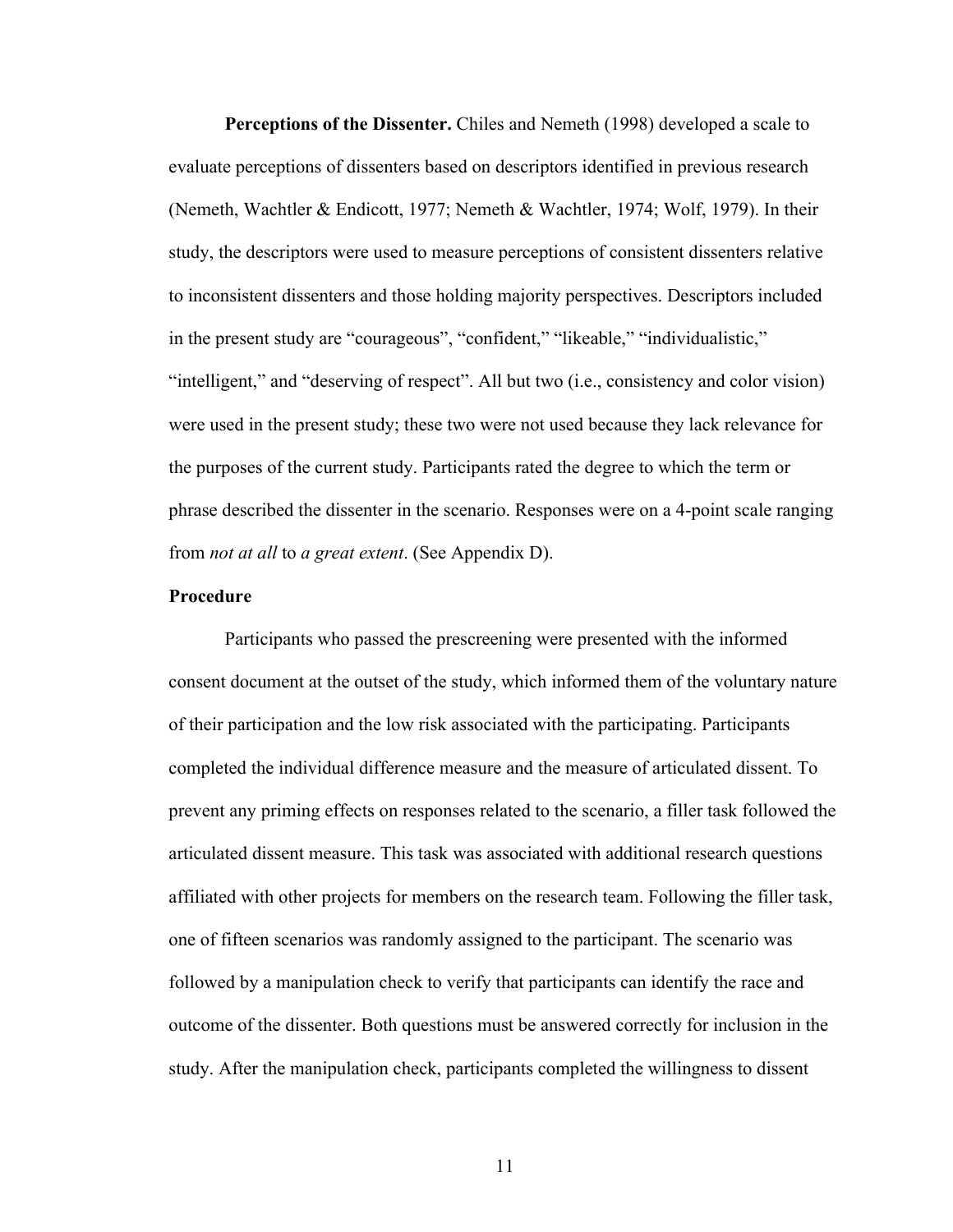**Perceptions of the Dissenter.** Chiles and Nemeth (1998) developed a scale to evaluate perceptions of dissenters based on descriptors identified in previous research (Nemeth, Wachtler & Endicott, 1977; Nemeth & Wachtler, 1974; Wolf, 1979). In their study, the descriptors were used to measure perceptions of consistent dissenters relative to inconsistent dissenters and those holding majority perspectives. Descriptors included in the present study are "courageous", "confident," "likeable," "individualistic," "intelligent," and "deserving of respect". All but two (i.e., consistency and color vision) were used in the present study; these two were not used because they lack relevance for the purposes of the current study. Participants rated the degree to which the term or phrase described the dissenter in the scenario. Responses were on a 4-point scale ranging from *not at all* to *a great extent*. (See Appendix D).

#### **Procedure**

Participants who passed the prescreening were presented with the informed consent document at the outset of the study, which informed them of the voluntary nature of their participation and the low risk associated with the participating. Participants completed the individual difference measure and the measure of articulated dissent. To prevent any priming effects on responses related to the scenario, a filler task followed the articulated dissent measure. This task was associated with additional research questions affiliated with other projects for members on the research team. Following the filler task, one of fifteen scenarios was randomly assigned to the participant. The scenario was followed by a manipulation check to verify that participants can identify the race and outcome of the dissenter. Both questions must be answered correctly for inclusion in the study. After the manipulation check, participants completed the willingness to dissent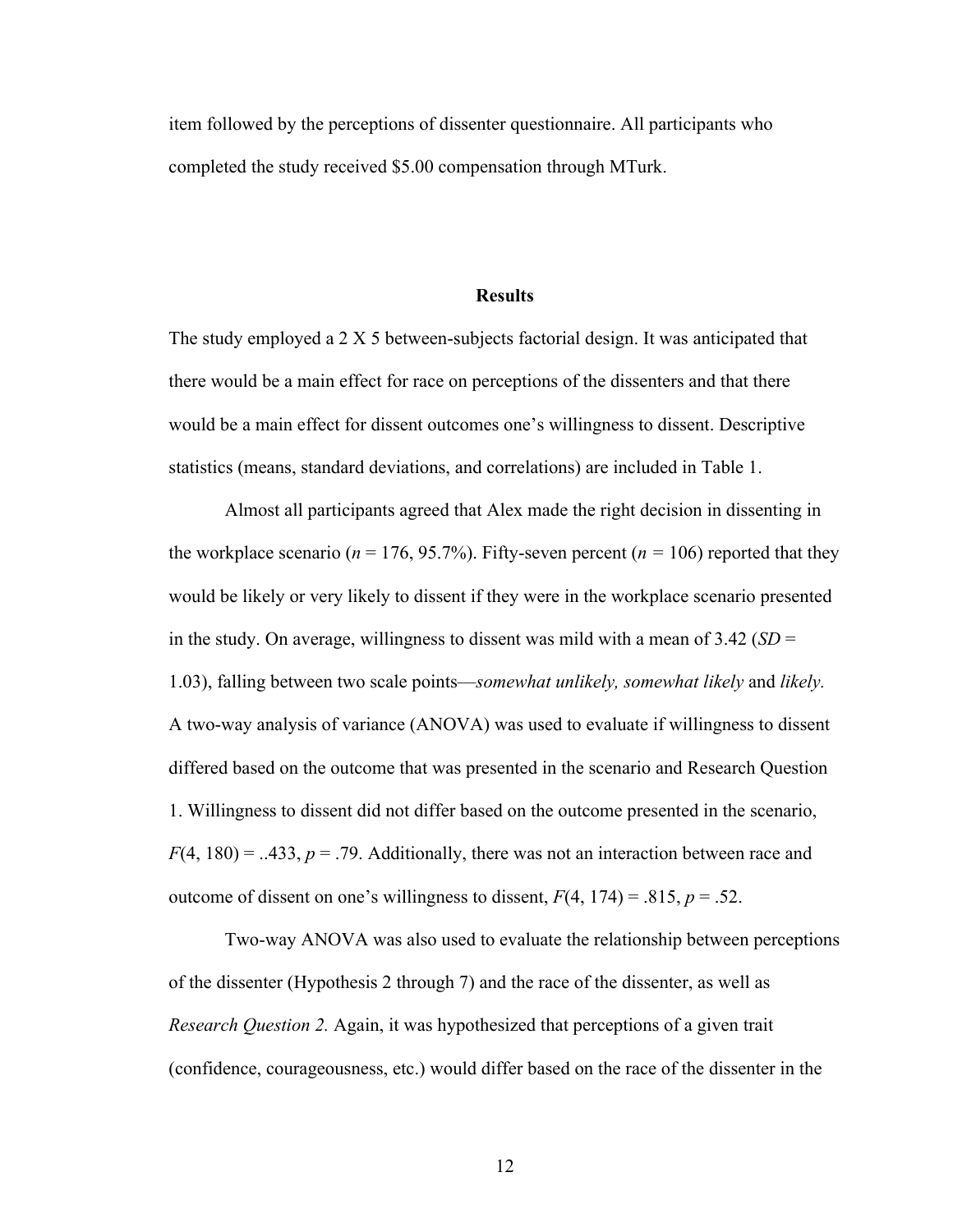item followed by the perceptions of dissenter questionnaire. All participants who completed the study received \$5.00 compensation through MTurk.

#### **Results**

The study employed a 2 X 5 between-subjects factorial design. It was anticipated that there would be a main effect for race on perceptions of the dissenters and that there would be a main effect for dissent outcomes one's willingness to dissent. Descriptive statistics (means, standard deviations, and correlations) are included in Table 1.

Almost all participants agreed that Alex made the right decision in dissenting in the workplace scenario ( $n = 176, 95.7\%$ ). Fifty-seven percent ( $n = 106$ ) reported that they would be likely or very likely to dissent if they were in the workplace scenario presented in the study. On average, willingness to dissent was mild with a mean of 3.42 (*SD* = 1.03), falling between two scale points—*somewhat unlikely, somewhat likely* and *likely.*  A two-way analysis of variance (ANOVA) was used to evaluate if willingness to dissent differed based on the outcome that was presented in the scenario and Research Question 1. Willingness to dissent did not differ based on the outcome presented in the scenario,  $F(4, 180) = .433$ ,  $p = .79$ . Additionally, there was not an interaction between race and outcome of dissent on one's willingness to dissent,  $F(4, 174) = .815$ ,  $p = .52$ .

Two-way ANOVA was also used to evaluate the relationship between perceptions of the dissenter (Hypothesis 2 through 7) and the race of the dissenter, as well as *Research Question 2.* Again, it was hypothesized that perceptions of a given trait (confidence, courageousness, etc.) would differ based on the race of the dissenter in the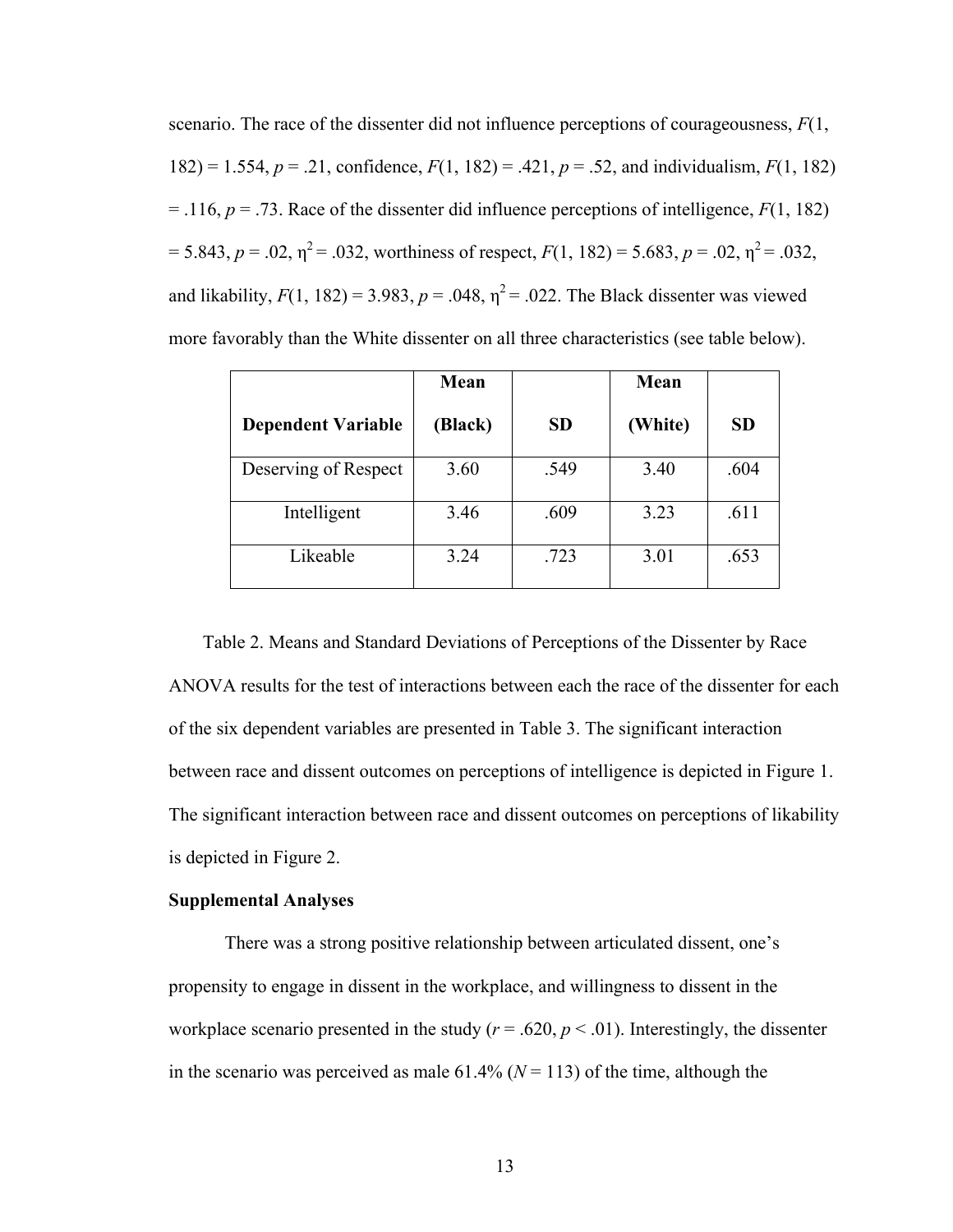scenario. The race of the dissenter did not influence perceptions of courageousness, *F*(1, 182) = 1.554, *p* = .21, confidence, *F*(1, 182) = .421, *p* = .52, and individualism, *F*(1, 182)  $=$  .116,  $p = .73$ . Race of the dissenter did influence perceptions of intelligence,  $F(1, 182)$  $= 5.843, p = .02, \eta^2 = .032$ , worthiness of respect,  $F(1, 182) = 5.683, p = .02, \eta^2 = .032$ , and likability,  $F(1, 182) = 3.983$ ,  $p = .048$ ,  $\eta^2 = .022$ . The Black dissenter was viewed more favorably than the White dissenter on all three characteristics (see table below).

|                           | Mean    |           | Mean    |           |
|---------------------------|---------|-----------|---------|-----------|
| <b>Dependent Variable</b> | (Black) | <b>SD</b> | (White) | <b>SD</b> |
| Deserving of Respect      | 3.60    | .549      | 3.40    | .604      |
| Intelligent               | 3.46    | .609      | 3.23    | .611      |
| Likeable                  | 3.24    | .723      | 3.01    | .653      |

Table 2. Means and Standard Deviations of Perceptions of the Dissenter by Race ANOVA results for the test of interactions between each the race of the dissenter for each of the six dependent variables are presented in Table 3. The significant interaction between race and dissent outcomes on perceptions of intelligence is depicted in Figure 1. The significant interaction between race and dissent outcomes on perceptions of likability is depicted in Figure 2.

#### **Supplemental Analyses**

There was a strong positive relationship between articulated dissent, one's propensity to engage in dissent in the workplace, and willingness to dissent in the workplace scenario presented in the study ( $r = .620$ ,  $p < .01$ ). Interestingly, the dissenter in the scenario was perceived as male  $61.4\%$  ( $N = 113$ ) of the time, although the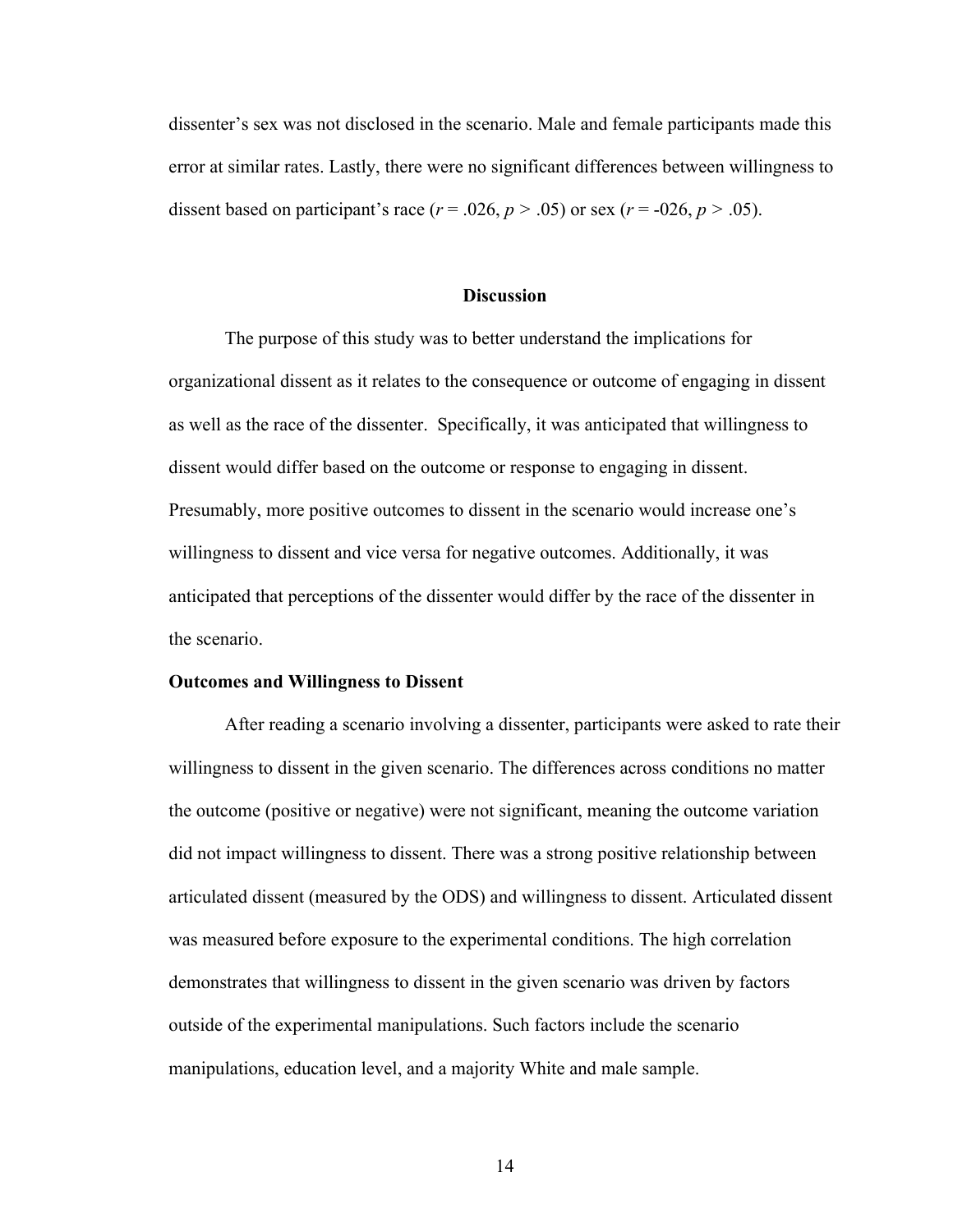dissenter's sex was not disclosed in the scenario. Male and female participants made this error at similar rates. Lastly, there were no significant differences between willingness to dissent based on participant's race  $(r = .026, p > .05)$  or sex  $(r = .026, p > .05)$ .

#### **Discussion**

The purpose of this study was to better understand the implications for organizational dissent as it relates to the consequence or outcome of engaging in dissent as well as the race of the dissenter. Specifically, it was anticipated that willingness to dissent would differ based on the outcome or response to engaging in dissent. Presumably, more positive outcomes to dissent in the scenario would increase one's willingness to dissent and vice versa for negative outcomes. Additionally, it was anticipated that perceptions of the dissenter would differ by the race of the dissenter in the scenario.

#### **Outcomes and Willingness to Dissent**

After reading a scenario involving a dissenter, participants were asked to rate their willingness to dissent in the given scenario. The differences across conditions no matter the outcome (positive or negative) were not significant, meaning the outcome variation did not impact willingness to dissent. There was a strong positive relationship between articulated dissent (measured by the ODS) and willingness to dissent. Articulated dissent was measured before exposure to the experimental conditions. The high correlation demonstrates that willingness to dissent in the given scenario was driven by factors outside of the experimental manipulations. Such factors include the scenario manipulations, education level, and a majority White and male sample.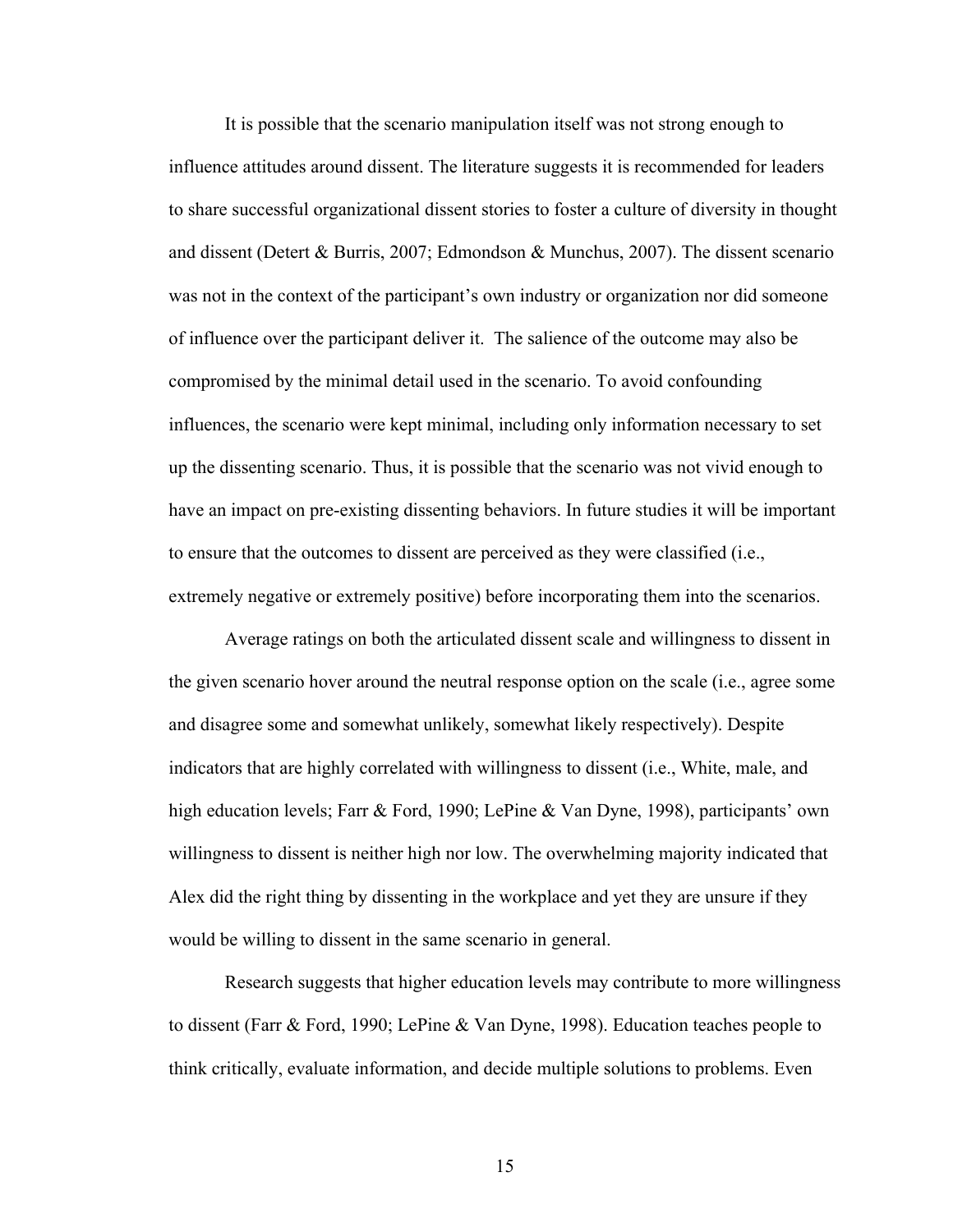It is possible that the scenario manipulation itself was not strong enough to influence attitudes around dissent. The literature suggests it is recommended for leaders to share successful organizational dissent stories to foster a culture of diversity in thought and dissent (Detert & Burris, 2007; Edmondson & Munchus, 2007). The dissent scenario was not in the context of the participant's own industry or organization nor did someone of influence over the participant deliver it. The salience of the outcome may also be compromised by the minimal detail used in the scenario. To avoid confounding influences, the scenario were kept minimal, including only information necessary to set up the dissenting scenario. Thus, it is possible that the scenario was not vivid enough to have an impact on pre-existing dissenting behaviors. In future studies it will be important to ensure that the outcomes to dissent are perceived as they were classified (i.e., extremely negative or extremely positive) before incorporating them into the scenarios.

Average ratings on both the articulated dissent scale and willingness to dissent in the given scenario hover around the neutral response option on the scale (i.e., agree some and disagree some and somewhat unlikely, somewhat likely respectively). Despite indicators that are highly correlated with willingness to dissent (i.e., White, male, and high education levels; Farr & Ford, 1990; LePine & Van Dyne, 1998), participants' own willingness to dissent is neither high nor low. The overwhelming majority indicated that Alex did the right thing by dissenting in the workplace and yet they are unsure if they would be willing to dissent in the same scenario in general.

Research suggests that higher education levels may contribute to more willingness to dissent (Farr & Ford, 1990; LePine & Van Dyne, 1998). Education teaches people to think critically, evaluate information, and decide multiple solutions to problems. Even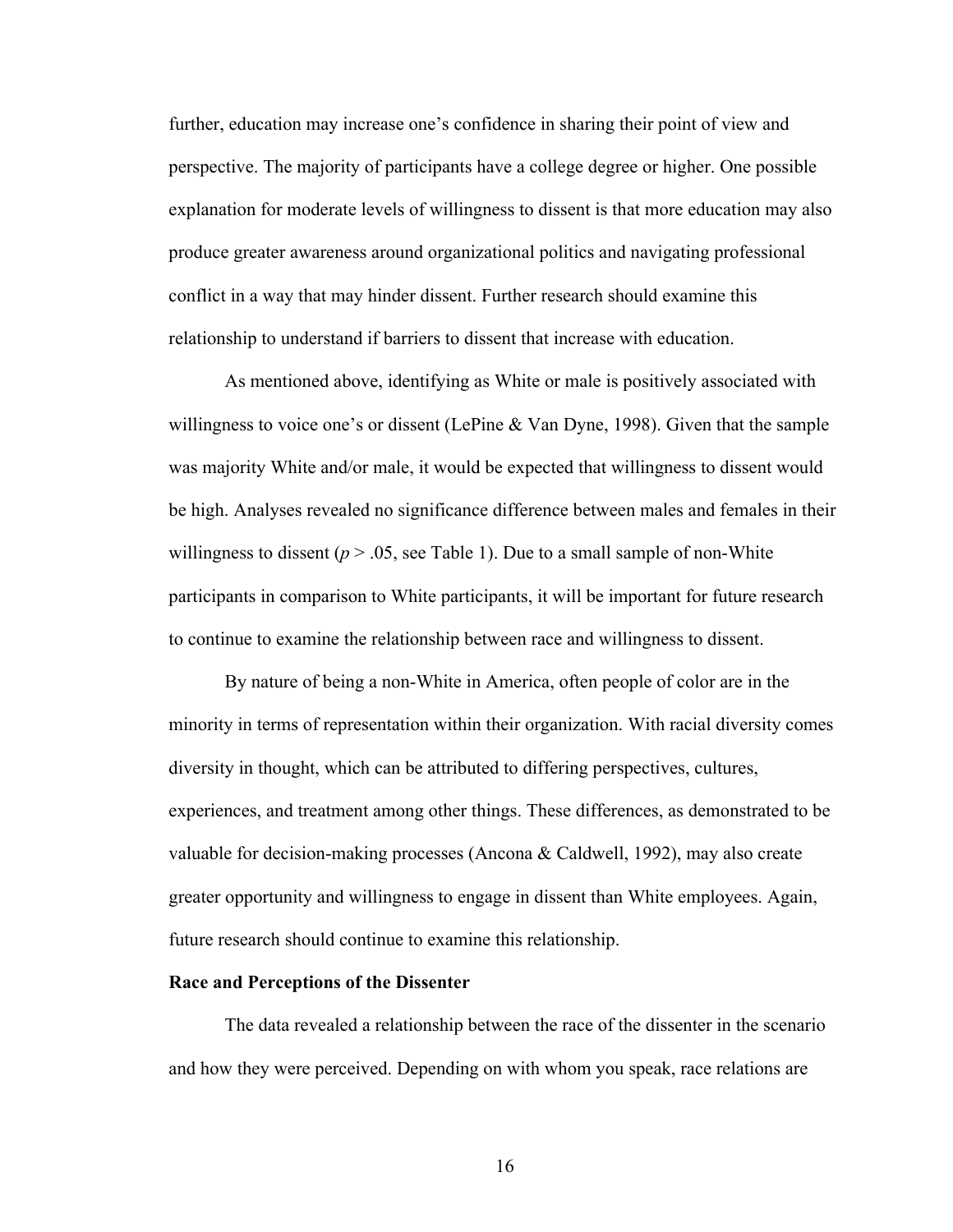further, education may increase one's confidence in sharing their point of view and perspective. The majority of participants have a college degree or higher. One possible explanation for moderate levels of willingness to dissent is that more education may also produce greater awareness around organizational politics and navigating professional conflict in a way that may hinder dissent. Further research should examine this relationship to understand if barriers to dissent that increase with education.

As mentioned above, identifying as White or male is positively associated with willingness to voice one's or dissent (LePine & Van Dyne, 1998). Given that the sample was majority White and/or male, it would be expected that willingness to dissent would be high. Analyses revealed no significance difference between males and females in their willingness to dissent ( $p > 0.05$ , see Table 1). Due to a small sample of non-White participants in comparison to White participants, it will be important for future research to continue to examine the relationship between race and willingness to dissent.

By nature of being a non-White in America, often people of color are in the minority in terms of representation within their organization. With racial diversity comes diversity in thought, which can be attributed to differing perspectives, cultures, experiences, and treatment among other things. These differences, as demonstrated to be valuable for decision-making processes (Ancona & Caldwell, 1992), may also create greater opportunity and willingness to engage in dissent than White employees. Again, future research should continue to examine this relationship.

#### **Race and Perceptions of the Dissenter**

The data revealed a relationship between the race of the dissenter in the scenario and how they were perceived. Depending on with whom you speak, race relations are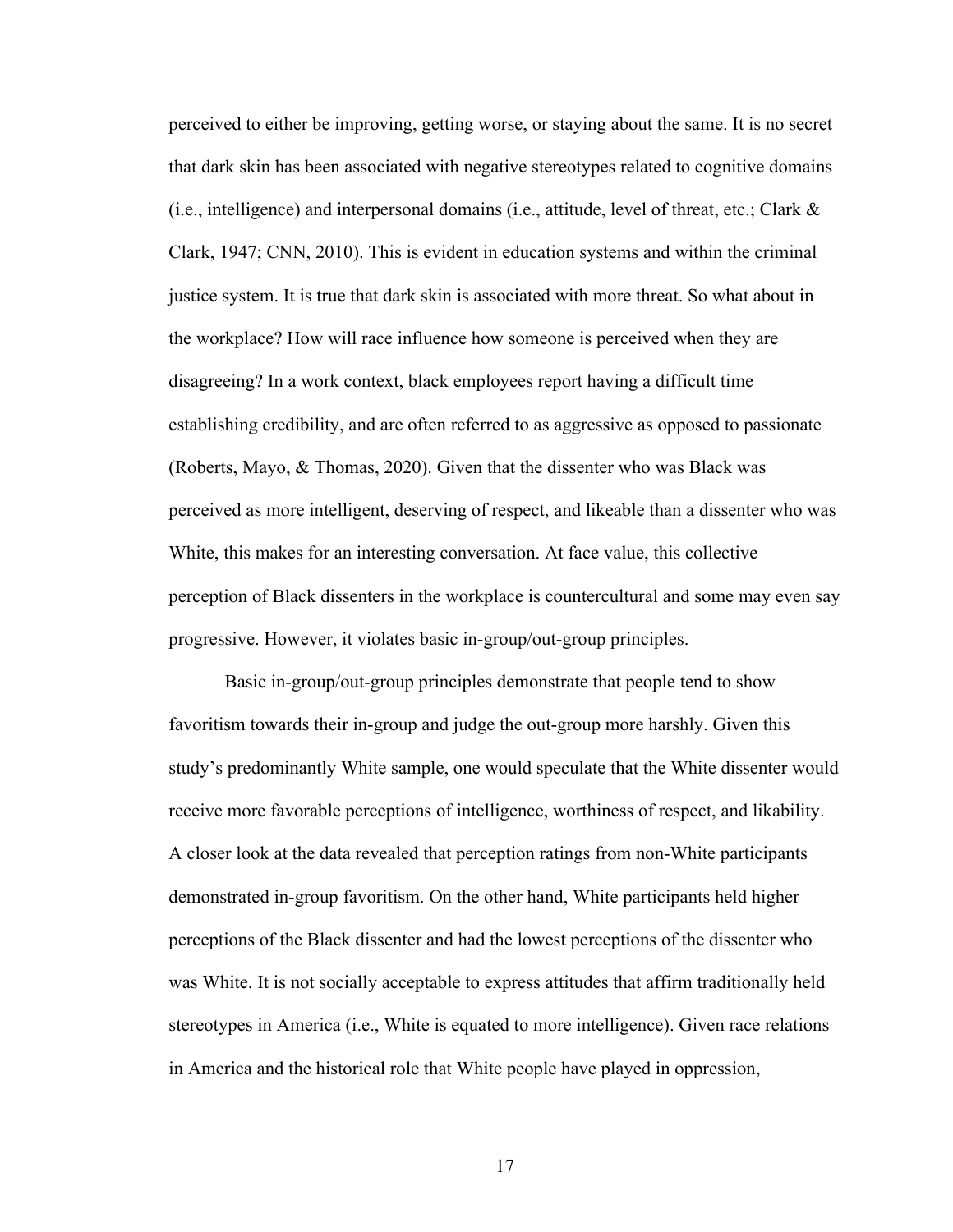perceived to either be improving, getting worse, or staying about the same. It is no secret that dark skin has been associated with negative stereotypes related to cognitive domains (i.e., intelligence) and interpersonal domains (i.e., attitude, level of threat, etc.; Clark  $\&$ Clark, 1947; CNN, 2010). This is evident in education systems and within the criminal justice system. It is true that dark skin is associated with more threat. So what about in the workplace? How will race influence how someone is perceived when they are disagreeing? In a work context, black employees report having a difficult time establishing credibility, and are often referred to as aggressive as opposed to passionate (Roberts, Mayo, & Thomas, 2020). Given that the dissenter who was Black was perceived as more intelligent, deserving of respect, and likeable than a dissenter who was White, this makes for an interesting conversation. At face value, this collective perception of Black dissenters in the workplace is countercultural and some may even say progressive. However, it violates basic in-group/out-group principles.

Basic in-group/out-group principles demonstrate that people tend to show favoritism towards their in-group and judge the out-group more harshly. Given this study's predominantly White sample, one would speculate that the White dissenter would receive more favorable perceptions of intelligence, worthiness of respect, and likability. A closer look at the data revealed that perception ratings from non-White participants demonstrated in-group favoritism. On the other hand, White participants held higher perceptions of the Black dissenter and had the lowest perceptions of the dissenter who was White. It is not socially acceptable to express attitudes that affirm traditionally held stereotypes in America (i.e., White is equated to more intelligence). Given race relations in America and the historical role that White people have played in oppression,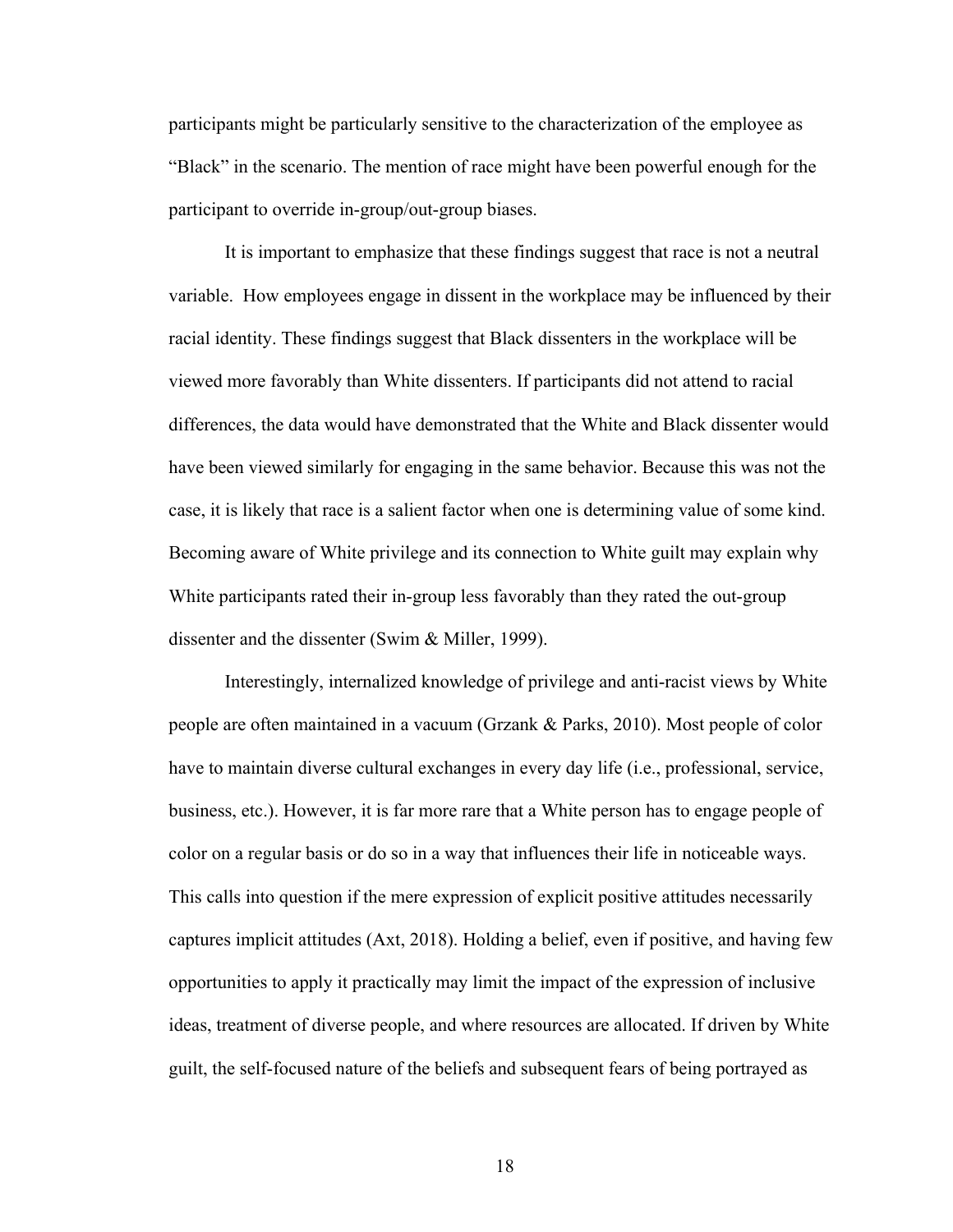participants might be particularly sensitive to the characterization of the employee as "Black" in the scenario. The mention of race might have been powerful enough for the participant to override in-group/out-group biases.

It is important to emphasize that these findings suggest that race is not a neutral variable. How employees engage in dissent in the workplace may be influenced by their racial identity. These findings suggest that Black dissenters in the workplace will be viewed more favorably than White dissenters. If participants did not attend to racial differences, the data would have demonstrated that the White and Black dissenter would have been viewed similarly for engaging in the same behavior. Because this was not the case, it is likely that race is a salient factor when one is determining value of some kind. Becoming aware of White privilege and its connection to White guilt may explain why White participants rated their in-group less favorably than they rated the out-group dissenter and the dissenter (Swim & Miller, 1999).

Interestingly, internalized knowledge of privilege and anti-racist views by White people are often maintained in a vacuum (Grzank & Parks, 2010). Most people of color have to maintain diverse cultural exchanges in every day life (i.e., professional, service, business, etc.). However, it is far more rare that a White person has to engage people of color on a regular basis or do so in a way that influences their life in noticeable ways. This calls into question if the mere expression of explicit positive attitudes necessarily captures implicit attitudes (Axt, 2018). Holding a belief, even if positive, and having few opportunities to apply it practically may limit the impact of the expression of inclusive ideas, treatment of diverse people, and where resources are allocated. If driven by White guilt, the self-focused nature of the beliefs and subsequent fears of being portrayed as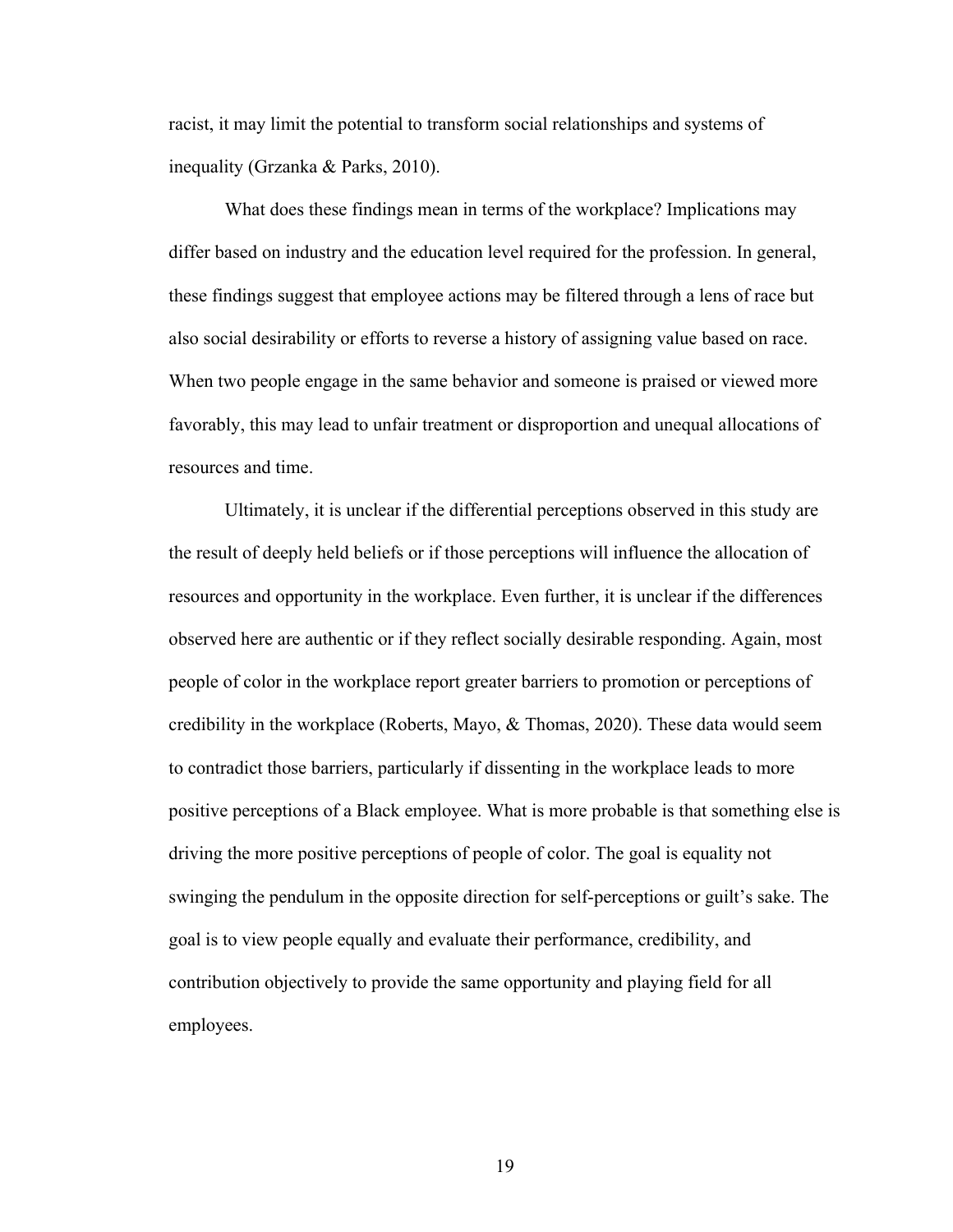racist, it may limit the potential to transform social relationships and systems of inequality (Grzanka & Parks, 2010).

What does these findings mean in terms of the workplace? Implications may differ based on industry and the education level required for the profession. In general, these findings suggest that employee actions may be filtered through a lens of race but also social desirability or efforts to reverse a history of assigning value based on race. When two people engage in the same behavior and someone is praised or viewed more favorably, this may lead to unfair treatment or disproportion and unequal allocations of resources and time.

Ultimately, it is unclear if the differential perceptions observed in this study are the result of deeply held beliefs or if those perceptions will influence the allocation of resources and opportunity in the workplace. Even further, it is unclear if the differences observed here are authentic or if they reflect socially desirable responding. Again, most people of color in the workplace report greater barriers to promotion or perceptions of credibility in the workplace (Roberts, Mayo,  $\&$  Thomas, 2020). These data would seem to contradict those barriers, particularly if dissenting in the workplace leads to more positive perceptions of a Black employee. What is more probable is that something else is driving the more positive perceptions of people of color. The goal is equality not swinging the pendulum in the opposite direction for self-perceptions or guilt's sake. The goal is to view people equally and evaluate their performance, credibility, and contribution objectively to provide the same opportunity and playing field for all employees.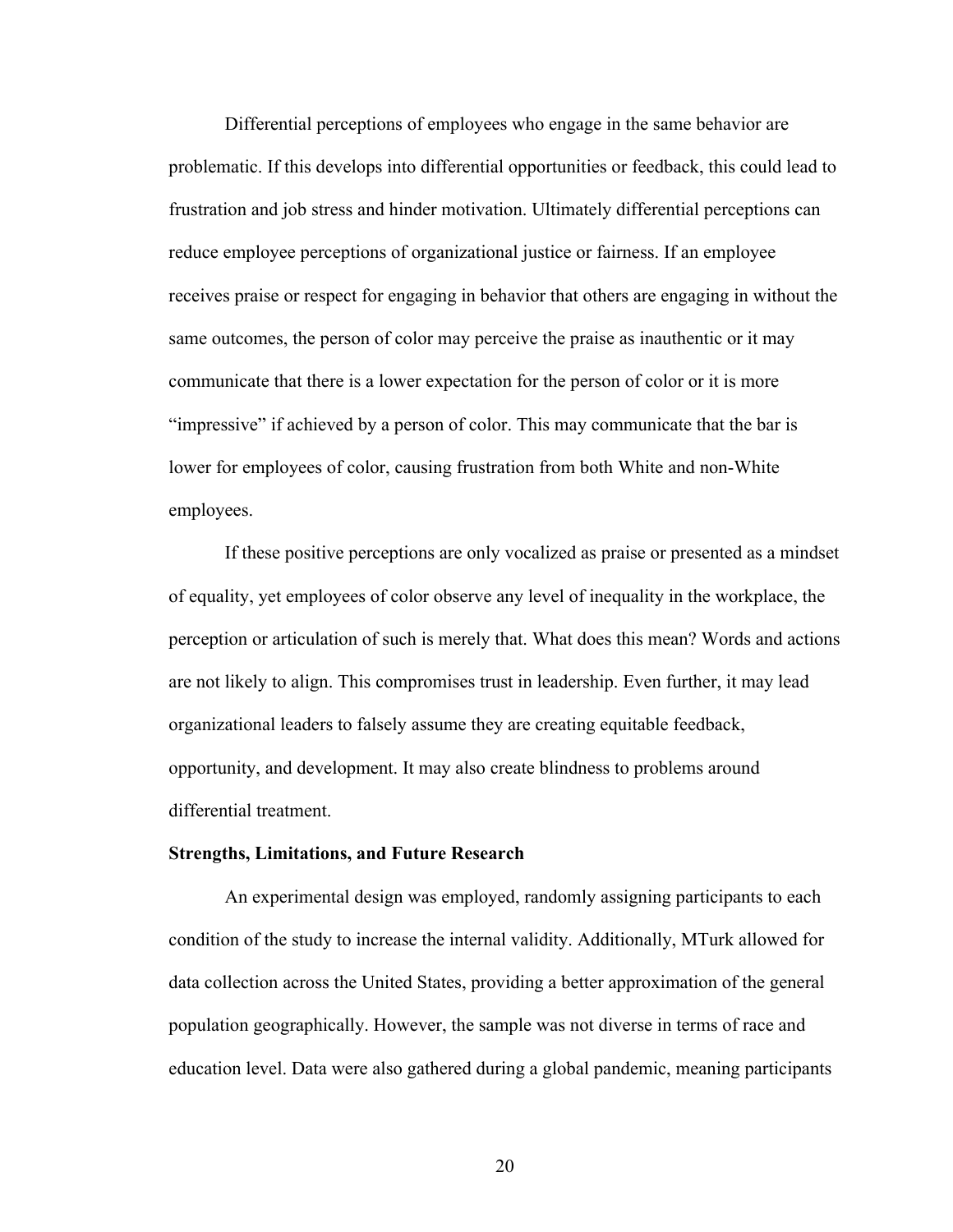Differential perceptions of employees who engage in the same behavior are problematic. If this develops into differential opportunities or feedback, this could lead to frustration and job stress and hinder motivation. Ultimately differential perceptions can reduce employee perceptions of organizational justice or fairness. If an employee receives praise or respect for engaging in behavior that others are engaging in without the same outcomes, the person of color may perceive the praise as inauthentic or it may communicate that there is a lower expectation for the person of color or it is more "impressive" if achieved by a person of color. This may communicate that the bar is lower for employees of color, causing frustration from both White and non-White employees.

If these positive perceptions are only vocalized as praise or presented as a mindset of equality, yet employees of color observe any level of inequality in the workplace, the perception or articulation of such is merely that. What does this mean? Words and actions are not likely to align. This compromises trust in leadership. Even further, it may lead organizational leaders to falsely assume they are creating equitable feedback, opportunity, and development. It may also create blindness to problems around differential treatment.

#### **Strengths, Limitations, and Future Research**

An experimental design was employed, randomly assigning participants to each condition of the study to increase the internal validity. Additionally, MTurk allowed for data collection across the United States, providing a better approximation of the general population geographically. However, the sample was not diverse in terms of race and education level. Data were also gathered during a global pandemic, meaning participants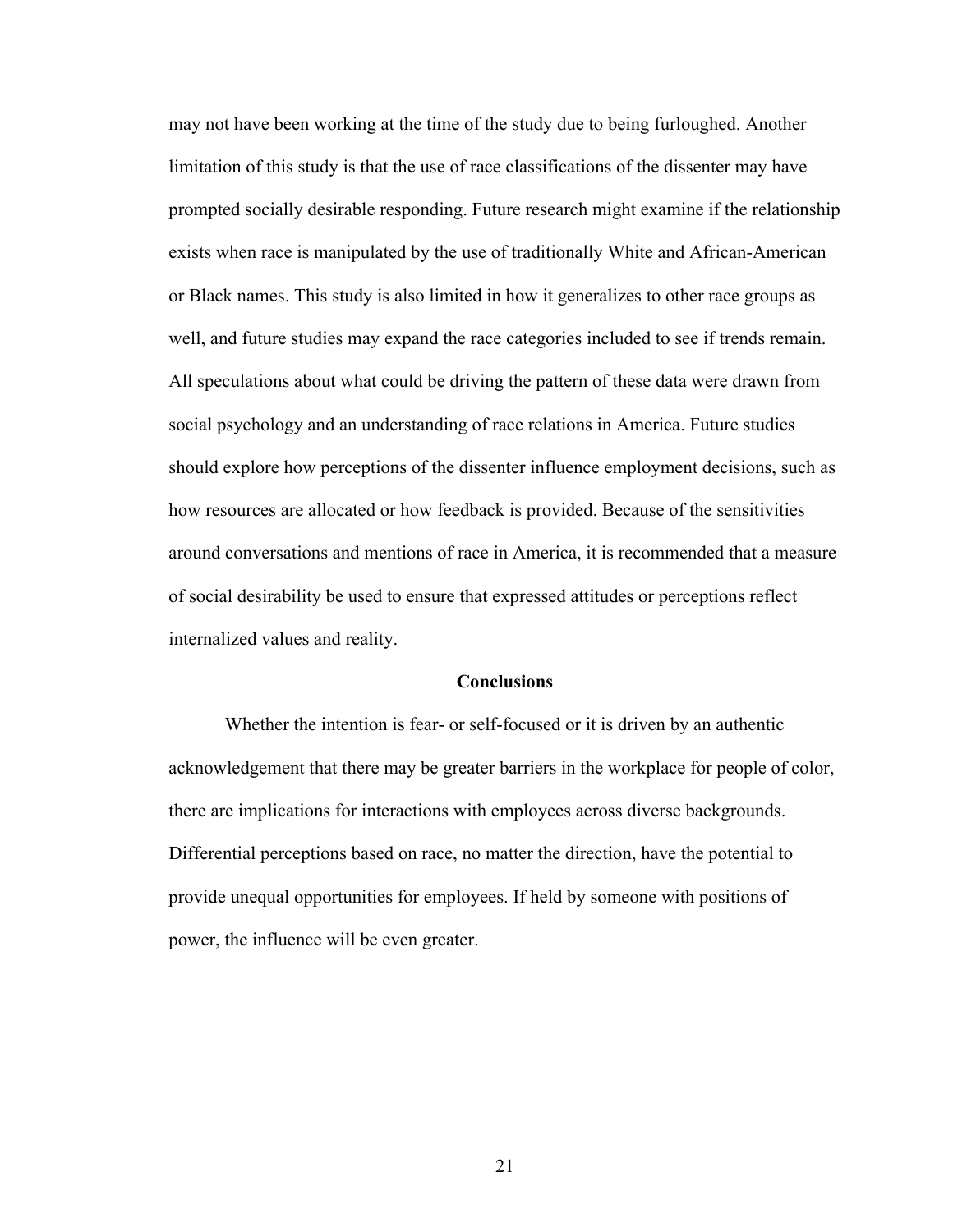may not have been working at the time of the study due to being furloughed. Another limitation of this study is that the use of race classifications of the dissenter may have prompted socially desirable responding. Future research might examine if the relationship exists when race is manipulated by the use of traditionally White and African-American or Black names. This study is also limited in how it generalizes to other race groups as well, and future studies may expand the race categories included to see if trends remain. All speculations about what could be driving the pattern of these data were drawn from social psychology and an understanding of race relations in America. Future studies should explore how perceptions of the dissenter influence employment decisions, such as how resources are allocated or how feedback is provided. Because of the sensitivities around conversations and mentions of race in America, it is recommended that a measure of social desirability be used to ensure that expressed attitudes or perceptions reflect internalized values and reality.

#### **Conclusions**

Whether the intention is fear- or self-focused or it is driven by an authentic acknowledgement that there may be greater barriers in the workplace for people of color, there are implications for interactions with employees across diverse backgrounds. Differential perceptions based on race, no matter the direction, have the potential to provide unequal opportunities for employees. If held by someone with positions of power, the influence will be even greater.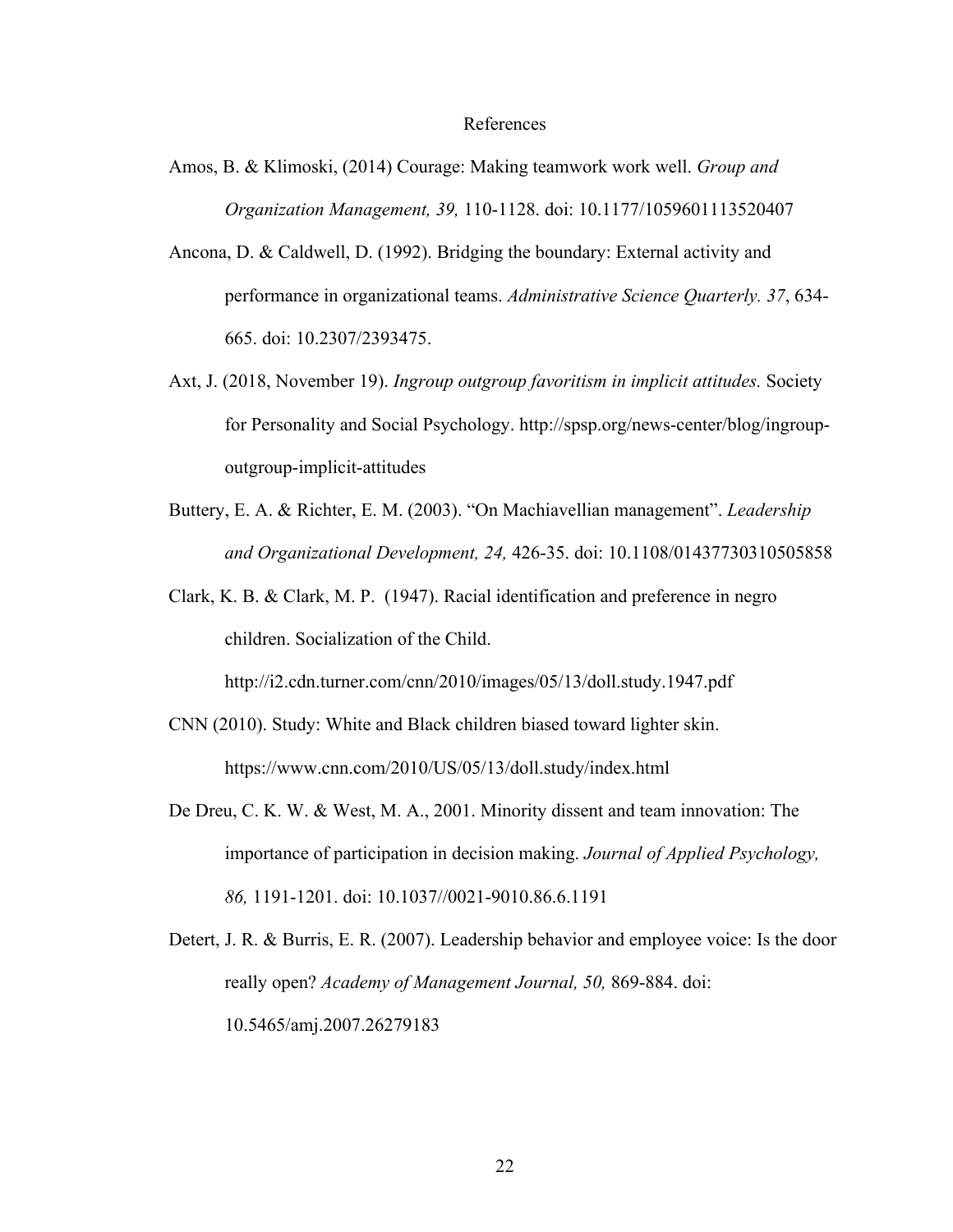#### References

- Amos, B. & Klimoski, (2014) Courage: Making teamwork work well. *Group and Organization Management, 39,* 110-1128. doi: 10.1177/1059601113520407
- Ancona, D. & Caldwell, D. (1992). Bridging the boundary: External activity and performance in organizational teams. *Administrative Science Quarterly. 37*, 634- 665. doi: 10.2307/2393475.
- Axt, J. (2018, November 19). *Ingroup outgroup favoritism in implicit attitudes.* Society for Personality and Social Psychology. http://spsp.org/news-center/blog/ingroupoutgroup-implicit-attitudes
- Buttery, E. A. & Richter, E. M. (2003). "On Machiavellian management". *Leadership and Organizational Development, 24,* 426-35. doi: 10.1108/01437730310505858
- Clark, K. B. & Clark, M. P. (1947). Racial identification and preference in negro children. Socialization of the Child.

http://i2.cdn.turner.com/cnn/2010/images/05/13/doll.study.1947.pdf

- CNN (2010). Study: White and Black children biased toward lighter skin. https://www.cnn.com/2010/US/05/13/doll.study/index.html
- De Dreu, C. K. W. & West, M. A., 2001. Minority dissent and team innovation: The importance of participation in decision making. *Journal of Applied Psychology, 86,* 1191-1201. doi: 10.1037//0021-9010.86.6.1191
- Detert, J. R. & Burris, E. R. (2007). Leadership behavior and employee voice: Is the door really open? *Academy of Management Journal, 50,* 869-884. doi: 10.5465/amj.2007.26279183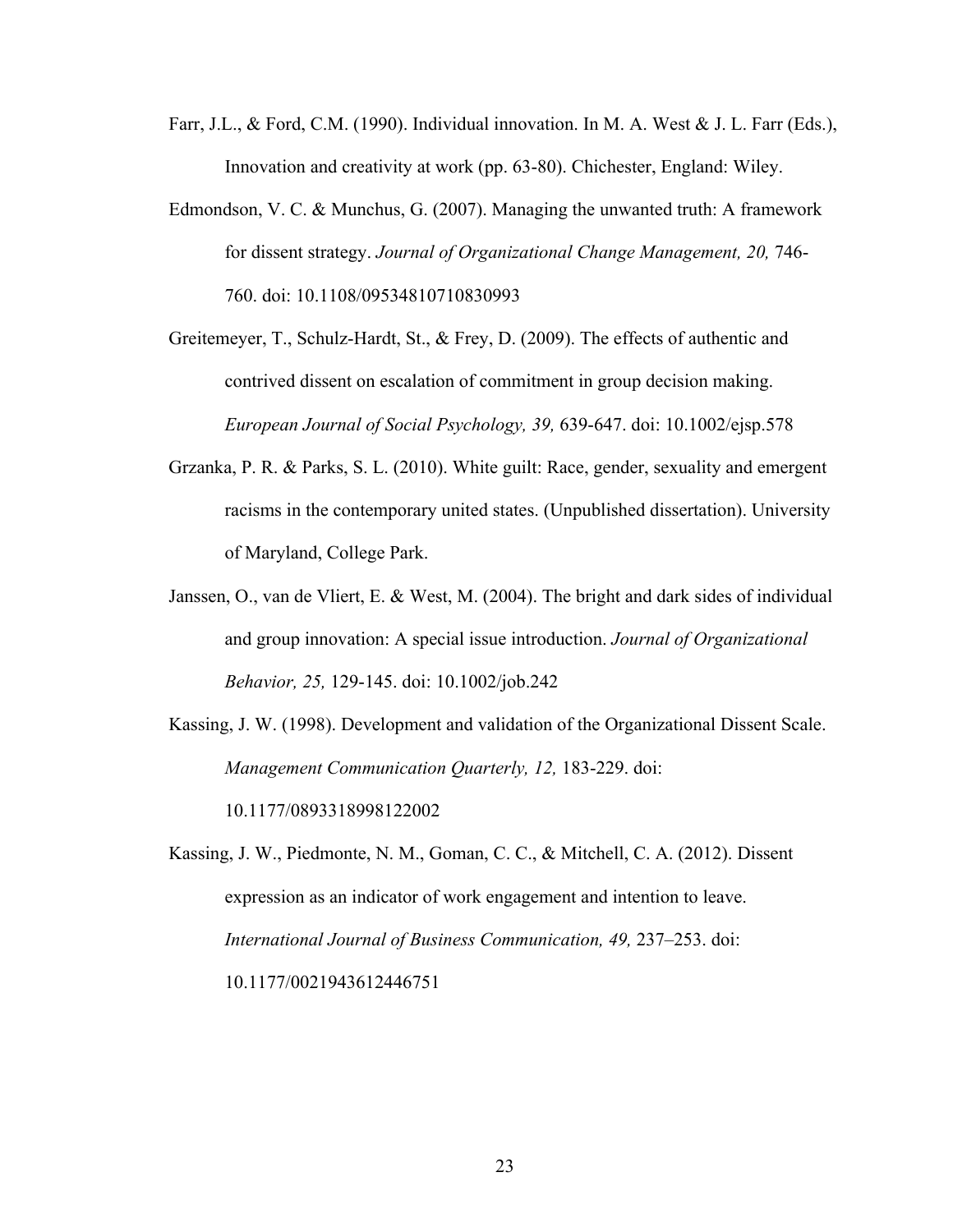- Farr, J.L., & Ford, C.M. (1990). Individual innovation. In M. A. West & J. L. Farr (Eds.), Innovation and creativity at work (pp. 63-80). Chichester, England: Wiley.
- Edmondson, V. C. & Munchus, G. (2007). Managing the unwanted truth: A framework for dissent strategy. *Journal of Organizational Change Management, 20,* 746- 760. doi: 10.1108/09534810710830993

Greitemeyer, T., Schulz-Hardt, St., & Frey, D. (2009). The effects of authentic and contrived dissent on escalation of commitment in group decision making. *European Journal of Social Psychology, 39,* 639-647. doi: 10.1002/ejsp.578

- Grzanka, P. R. & Parks, S. L. (2010). White guilt: Race, gender, sexuality and emergent racisms in the contemporary united states. (Unpublished dissertation). University of Maryland, College Park.
- Janssen, O., van de Vliert, E. & West, M. (2004). The bright and dark sides of individual and group innovation: A special issue introduction. *Journal of Organizational Behavior, 25,* 129-145. doi: 10.1002/job.242
- Kassing, J. W. (1998). Development and validation of the Organizational Dissent Scale. *Management Communication Quarterly, 12,* 183-229. doi: 10.1177/0893318998122002

Kassing, J. W., Piedmonte, N. M., Goman, C. C., & Mitchell, C. A. (2012). Dissent expression as an indicator of work engagement and intention to leave. *International Journal of Business Communication, 49,* 237–253. doi: 10.1177/0021943612446751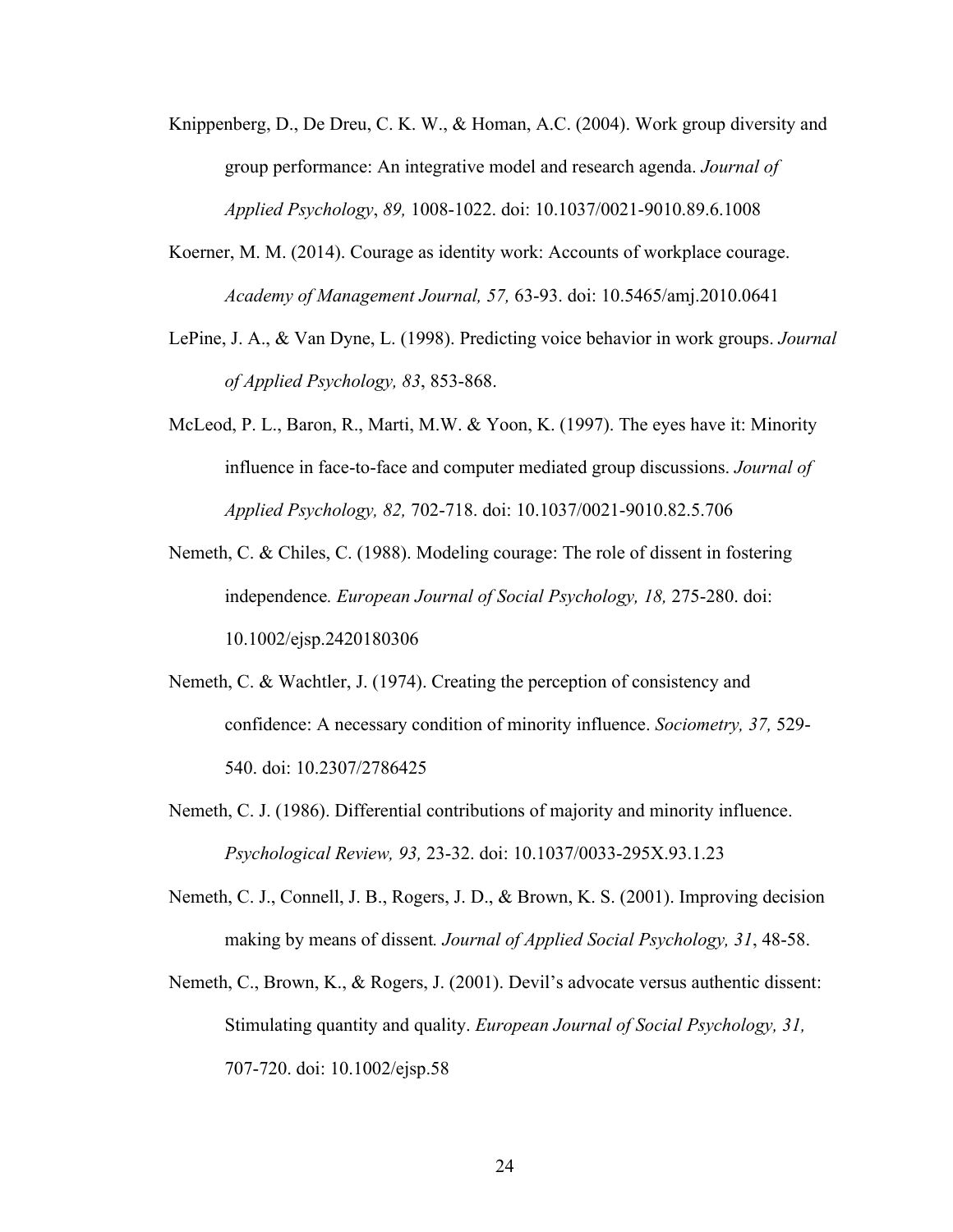- Knippenberg, D., De Dreu, C. K. W., & Homan, A.C. (2004). Work group diversity and group performance: An integrative model and research agenda. *Journal of Applied Psychology*, *89,* 1008-1022. doi: 10.1037/0021-9010.89.6.1008
- Koerner, M. M. (2014). Courage as identity work: Accounts of workplace courage. *Academy of Management Journal, 57,* 63-93. doi: 10.5465/amj.2010.0641
- LePine, J. A., & Van Dyne, L. (1998). Predicting voice behavior in work groups. *Journal of Applied Psychology, 83*, 853-868.
- McLeod, P. L., Baron, R., Marti, M.W. & Yoon, K. (1997). The eyes have it: Minority influence in face-to-face and computer mediated group discussions. *Journal of Applied Psychology, 82,* 702-718. doi: 10.1037/0021-9010.82.5.706
- Nemeth, C. & Chiles, C. (1988). Modeling courage: The role of dissent in fostering independence*. European Journal of Social Psychology, 18,* 275-280. doi: 10.1002/ejsp.2420180306
- Nemeth, C. & Wachtler, J. (1974). Creating the perception of consistency and confidence: A necessary condition of minority influence. *Sociometry, 37,* 529- 540. doi: 10.2307/2786425
- Nemeth, C. J. (1986). Differential contributions of majority and minority influence. *Psychological Review, 93,* 23-32. doi: 10.1037/0033-295X.93.1.23
- Nemeth, C. J., Connell, J. B., Rogers, J. D., & Brown, K. S. (2001). Improving decision making by means of dissent*. Journal of Applied Social Psychology, 31*, 48-58.
- Nemeth, C., Brown, K., & Rogers, J. (2001). Devil's advocate versus authentic dissent: Stimulating quantity and quality. *European Journal of Social Psychology, 31,* 707-720. doi: 10.1002/ejsp.58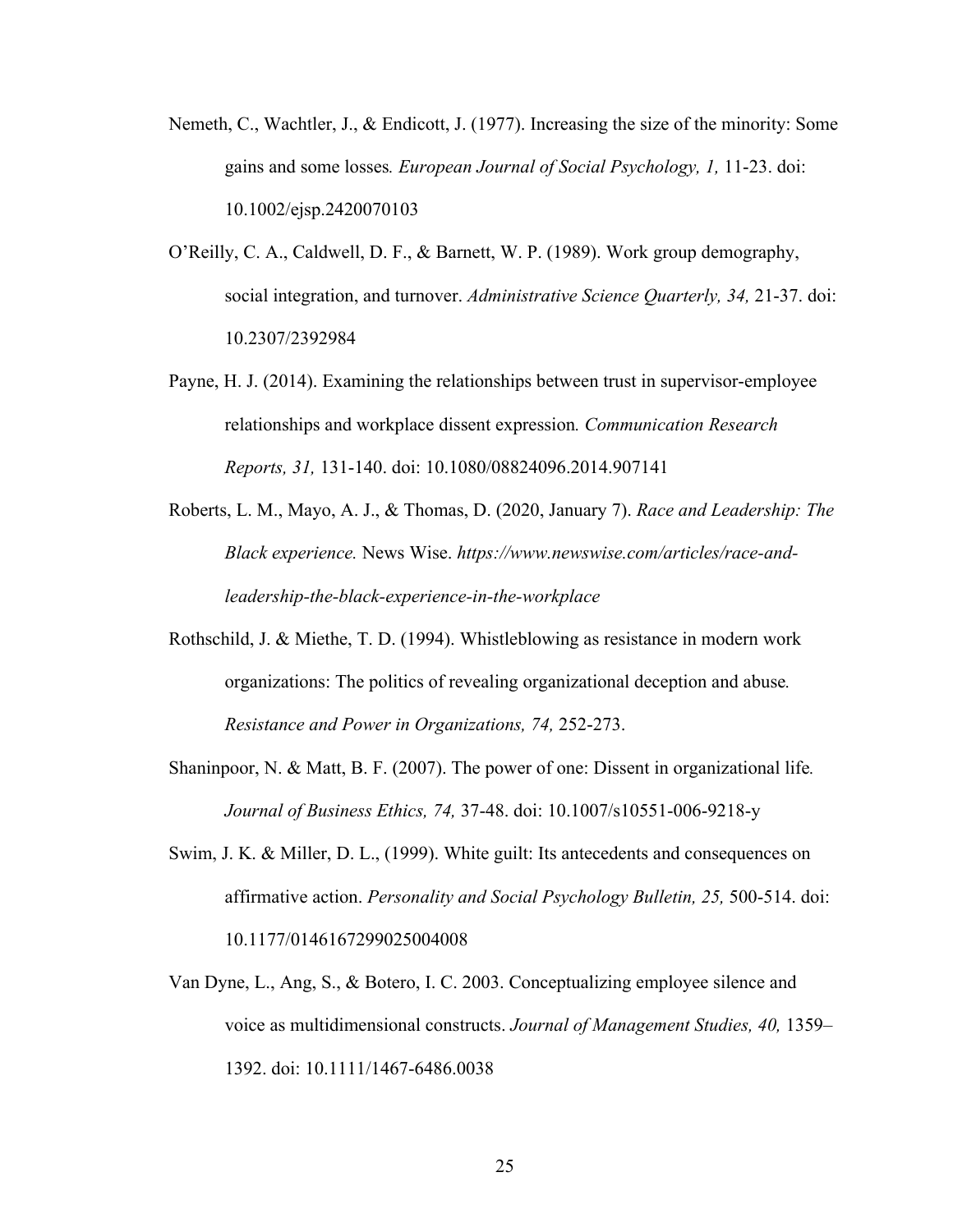- Nemeth, C., Wachtler, J., & Endicott, J. (1977). Increasing the size of the minority: Some gains and some losses*. European Journal of Social Psychology, 1,* 11-23. doi: 10.1002/ejsp.2420070103
- O'Reilly, C. A., Caldwell, D. F., & Barnett, W. P. (1989). Work group demography, social integration, and turnover. *Administrative Science Quarterly, 34,* 21-37. doi: 10.2307/2392984
- Payne, H. J. (2014). Examining the relationships between trust in supervisor-employee relationships and workplace dissent expression*. Communication Research Reports, 31,* 131-140. doi: 10.1080/08824096.2014.907141
- Roberts, L. M., Mayo, A. J., & Thomas, D. (2020, January 7). *Race and Leadership: The Black experience.* News Wise. *https://www.newswise.com/articles/race-andleadership-the-black-experience-in-the-workplace*
- Rothschild, J. & Miethe, T. D. (1994). Whistleblowing as resistance in modern work organizations: The politics of revealing organizational deception and abuse*. Resistance and Power in Organizations, 74,* 252-273.
- Shaninpoor, N. & Matt, B. F. (2007). The power of one: Dissent in organizational life*. Journal of Business Ethics, 74,* 37-48. doi: 10.1007/s10551-006-9218-y
- Swim, J. K. & Miller, D. L., (1999). White guilt: Its antecedents and consequences on affirmative action. *Personality and Social Psychology Bulletin, 25,* 500-514. doi: 10.1177/0146167299025004008
- Van Dyne, L., Ang, S., & Botero, I. C. 2003. Conceptualizing employee silence and voice as multidimensional constructs. *Journal of Management Studies, 40,* 1359– 1392. doi: 10.1111/1467-6486.0038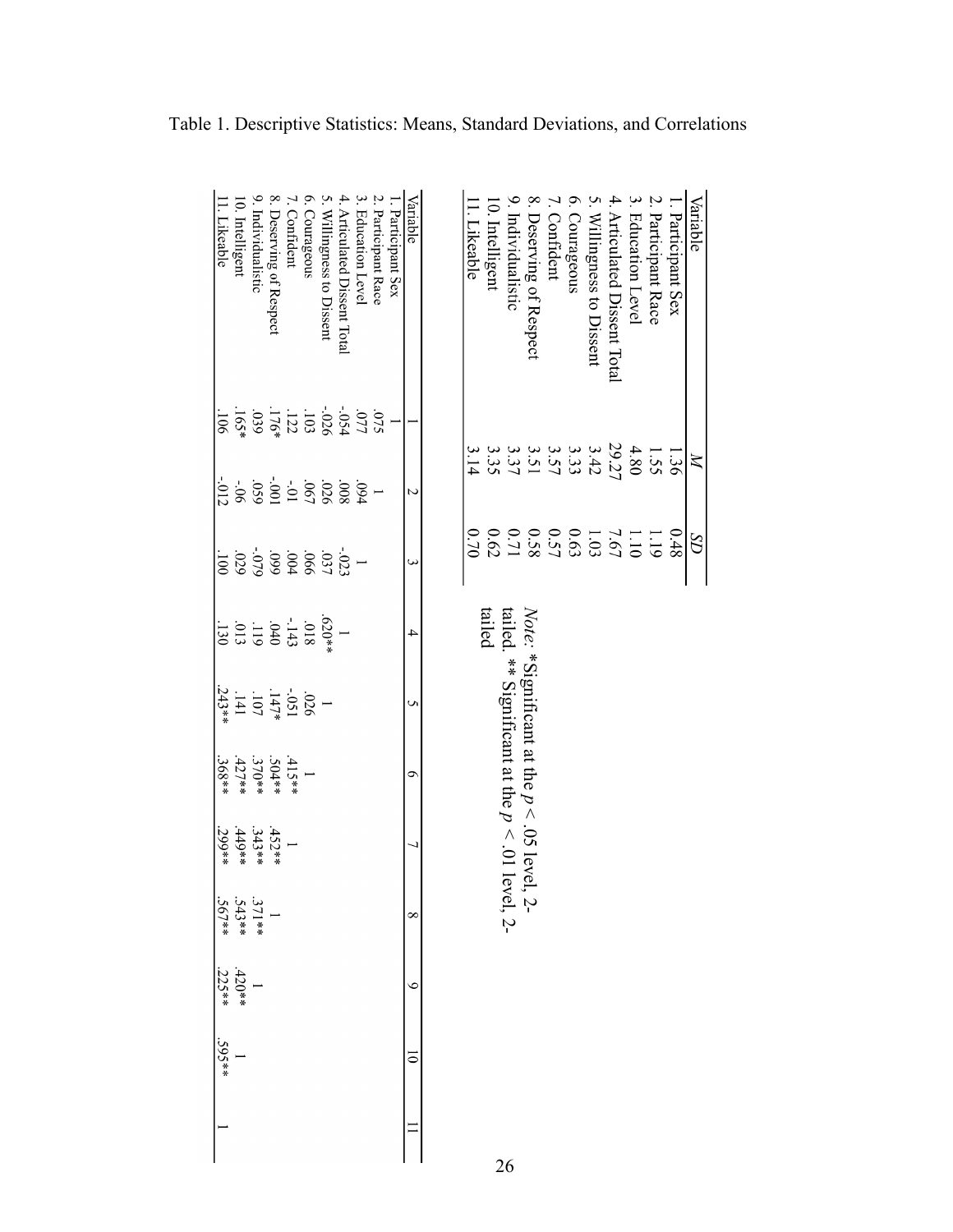| Variable                     |     | $\boxtimes$                                                                                                   | $\Omega$                                                                                               |                                                                       |                                                 |                                                                                                           |          |                                      |                    |                      |  |
|------------------------------|-----|---------------------------------------------------------------------------------------------------------------|--------------------------------------------------------------------------------------------------------|-----------------------------------------------------------------------|-------------------------------------------------|-----------------------------------------------------------------------------------------------------------|----------|--------------------------------------|--------------------|----------------------|--|
| . Participant Sex            |     | 1.36                                                                                                          | $8 + 0$                                                                                                |                                                                       |                                                 |                                                                                                           |          |                                      |                    |                      |  |
| 2. Participant Race          |     | 1.55                                                                                                          |                                                                                                        |                                                                       |                                                 |                                                                                                           |          |                                      |                    |                      |  |
| 3. Education Level           |     | 4.80                                                                                                          |                                                                                                        |                                                                       |                                                 |                                                                                                           |          |                                      |                    |                      |  |
| 4. Articulated Dissent Total |     | 29.27                                                                                                         |                                                                                                        |                                                                       |                                                 |                                                                                                           |          |                                      |                    |                      |  |
| 5. Willingness to Dissent    |     |                                                                                                               | $\begin{array}{l} 1.19 \\ 1.19 \\ 1.09 \\ 1.09 \\ 0.57 \\ 0.62 \\ 0.62 \\ 0.62 \\ 0.63 \\ \end{array}$ |                                                                       |                                                 |                                                                                                           |          |                                      |                    |                      |  |
| 6. Courageous                |     |                                                                                                               |                                                                                                        |                                                                       |                                                 |                                                                                                           |          |                                      |                    |                      |  |
| . Confident                  |     | 3 3 3 3 3 3 3 3 4 3 4 3 4 4 5 4 6 7 4 7 4 7 8 4 7 6 7 7 8 4 7 8 7 9 7 7 8 7 7 8 4 7 8 7 7 8 7 8 7 7 8 7 7 8 7 |                                                                                                        |                                                                       |                                                 |                                                                                                           |          |                                      |                    |                      |  |
| 8. Deserving of Respect      |     |                                                                                                               |                                                                                                        |                                                                       |                                                 |                                                                                                           |          |                                      |                    |                      |  |
| 9. Individualistic           |     |                                                                                                               |                                                                                                        |                                                                       |                                                 | <i>Note:</i> *Significant at the $p < .05$ level, 2-<br>tailed. ** Significant at the $p < .01$ level, 2- |          |                                      |                    |                      |  |
| 0. Intelligent               |     |                                                                                                               |                                                                                                        | tailed                                                                |                                                 |                                                                                                           |          |                                      |                    |                      |  |
| l. Likeable                  |     |                                                                                                               | 0.70                                                                                                   |                                                                       |                                                 |                                                                                                           |          |                                      |                    |                      |  |
|                              |     |                                                                                                               |                                                                                                        |                                                                       |                                                 |                                                                                                           |          |                                      |                    |                      |  |
| Variable                     |     | Z                                                                                                             | ω                                                                                                      | 4                                                                     | Un                                              | Ó                                                                                                         | ┙        | $\infty$                             | $\circ$            | $\overline{\bullet}$ |  |
| . Participant Sex            |     |                                                                                                               |                                                                                                        |                                                                       |                                                 |                                                                                                           |          |                                      |                    |                      |  |
| Participant Race             |     |                                                                                                               |                                                                                                        |                                                                       |                                                 |                                                                                                           |          |                                      |                    |                      |  |
| Education Level              |     |                                                                                                               |                                                                                                        |                                                                       |                                                 |                                                                                                           |          |                                      |                    |                      |  |
| 4. Articulated Dissent Total |     |                                                                                                               |                                                                                                        |                                                                       |                                                 |                                                                                                           |          |                                      |                    |                      |  |
| 5. Willingness to Dissent    |     |                                                                                                               |                                                                                                        |                                                                       |                                                 |                                                                                                           |          |                                      |                    |                      |  |
| 6. Courageous                |     |                                                                                                               |                                                                                                        |                                                                       |                                                 |                                                                                                           |          |                                      |                    |                      |  |
| 7. Confident                 |     |                                                                                                               |                                                                                                        |                                                                       |                                                 | $.415**$                                                                                                  |          |                                      |                    |                      |  |
| 8. Deserving of Respect      |     |                                                                                                               |                                                                                                        |                                                                       |                                                 | **023                                                                                                     | $.452**$ |                                      |                    |                      |  |
| 9. Individualistic           |     |                                                                                                               | $\begin{array}{l} .023 \\ 033 \\ 040 \\ 059 \\ 069 \\ 039 \\ \end{array}$                              |                                                                       | $-051$<br>$+147*$<br>$180-$<br>$147*$<br>$180-$ | $.370**$<br>427**                                                                                         | $.343**$ |                                      |                    |                      |  |
| 0. Intelligent               |     |                                                                                                               |                                                                                                        | $(520**$<br>$-1440$<br>$-140$<br>$-110$<br>$-110$<br>$-130$<br>$-130$ |                                                 |                                                                                                           | $.449**$ | $1$<br>$371**$<br>$343**$<br>$367**$ | $\frac{1}{.420**}$ |                      |  |
| 1. Likeable                  | 106 | $-012$                                                                                                        | $\frac{1}{2}$                                                                                          |                                                                       | $243**$                                         | .368**                                                                                                    | $.299**$ |                                      | $.225***$          | $.595***$            |  |
|                              |     |                                                                                                               |                                                                                                        |                                                                       |                                                 |                                                                                                           |          |                                      |                    |                      |  |

Table 1. Descriptive Statistics: Means, Standard Deviations, and Correlations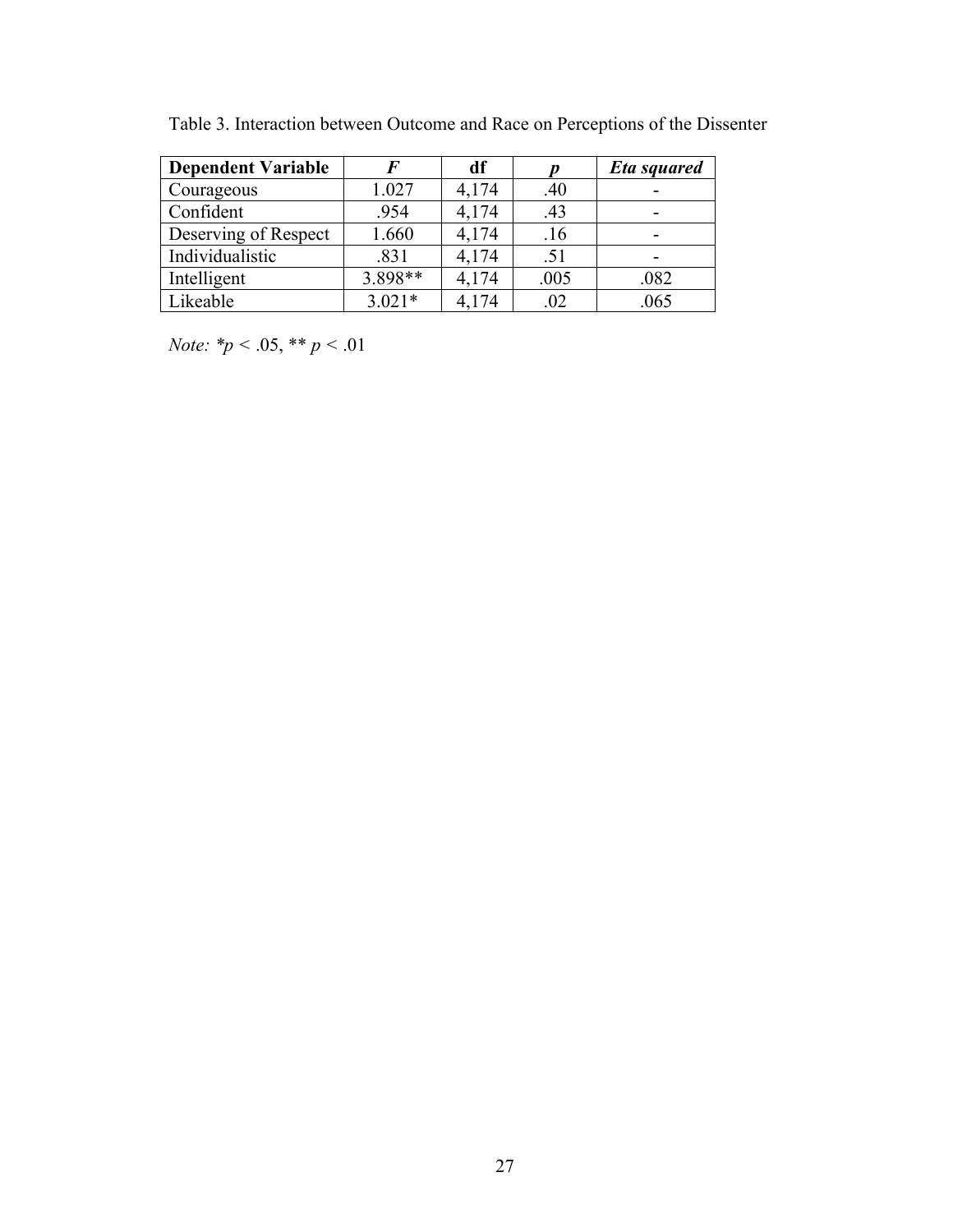| <b>Dependent Variable</b> |          | df    |      | <b>Eta squared</b> |
|---------------------------|----------|-------|------|--------------------|
| Courageous                | 1.027    | 4,174 | .40  |                    |
| Confident                 | .954     | 4,174 | .43  |                    |
| Deserving of Respect      | 1.660    | 4,174 | .16  |                    |
| Individualistic           | .831     | 4,174 | .51  |                    |
| Intelligent               | 3.898**  | 4,174 | .005 | .082               |
| Likeable                  | $3.021*$ | 4,174 | .02  | .065               |

Table 3. Interaction between Outcome and Race on Perceptions of the Dissenter

*Note: \*p <* .05, \*\* *p <* .01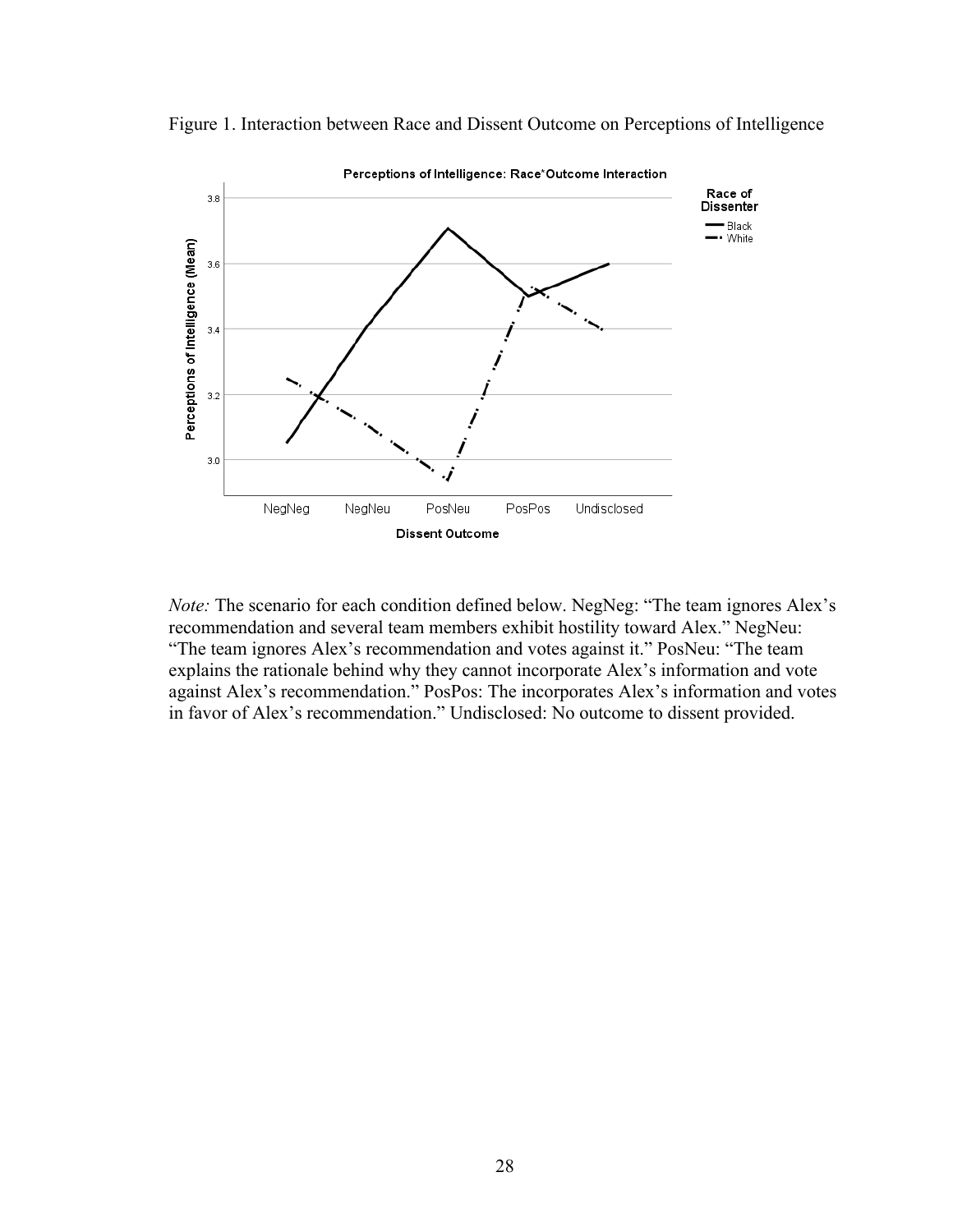



*Note:* The scenario for each condition defined below. NegNeg: "The team ignores Alex's recommendation and several team members exhibit hostility toward Alex." NegNeu: "The team ignores Alex's recommendation and votes against it." PosNeu: "The team explains the rationale behind why they cannot incorporate Alex's information and vote against Alex's recommendation." PosPos: The incorporates Alex's information and votes in favor of Alex's recommendation." Undisclosed: No outcome to dissent provided.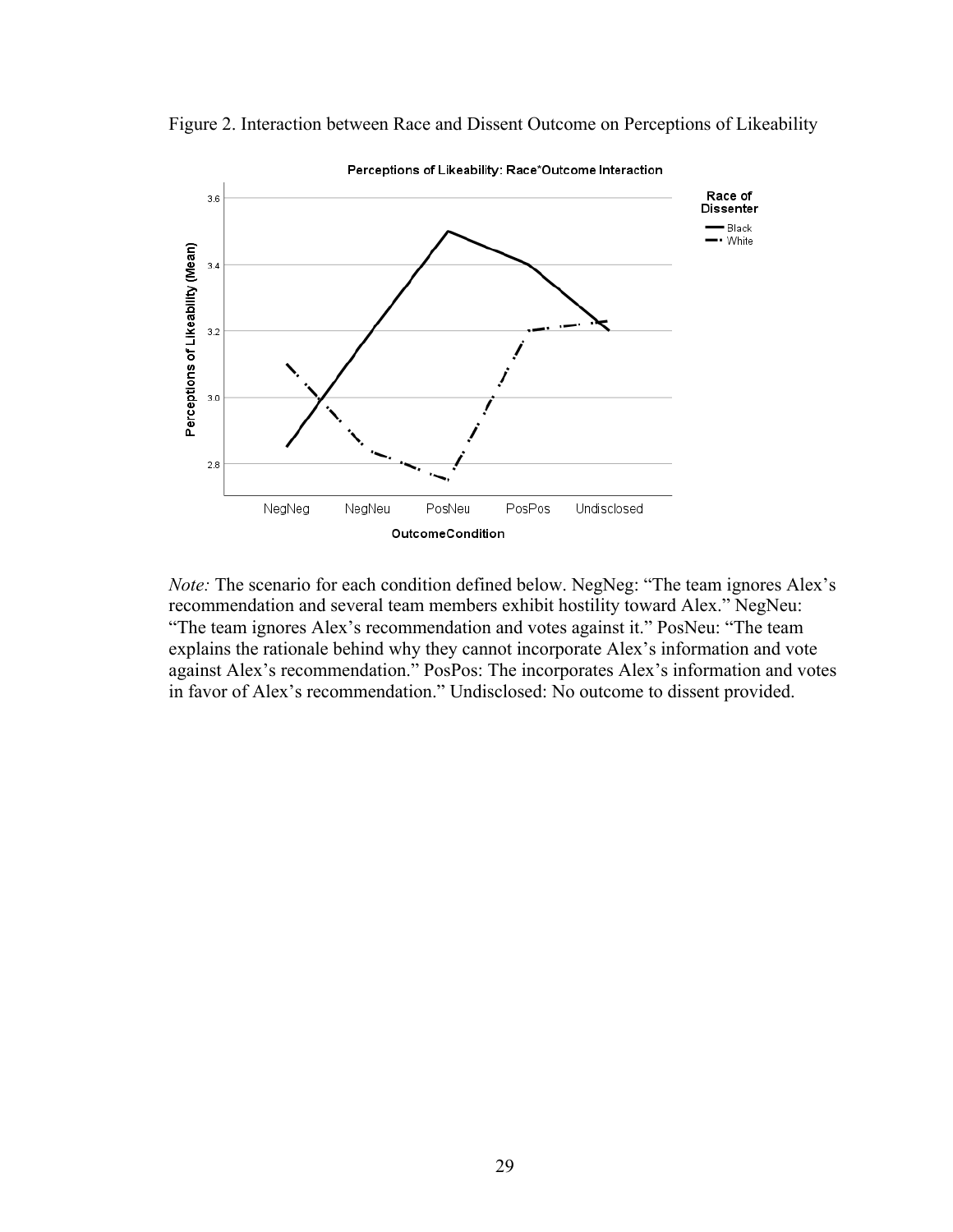



*Note:* The scenario for each condition defined below. NegNeg: "The team ignores Alex's recommendation and several team members exhibit hostility toward Alex." NegNeu: "The team ignores Alex's recommendation and votes against it." PosNeu: "The team explains the rationale behind why they cannot incorporate Alex's information and vote against Alex's recommendation." PosPos: The incorporates Alex's information and votes in favor of Alex's recommendation." Undisclosed: No outcome to dissent provided.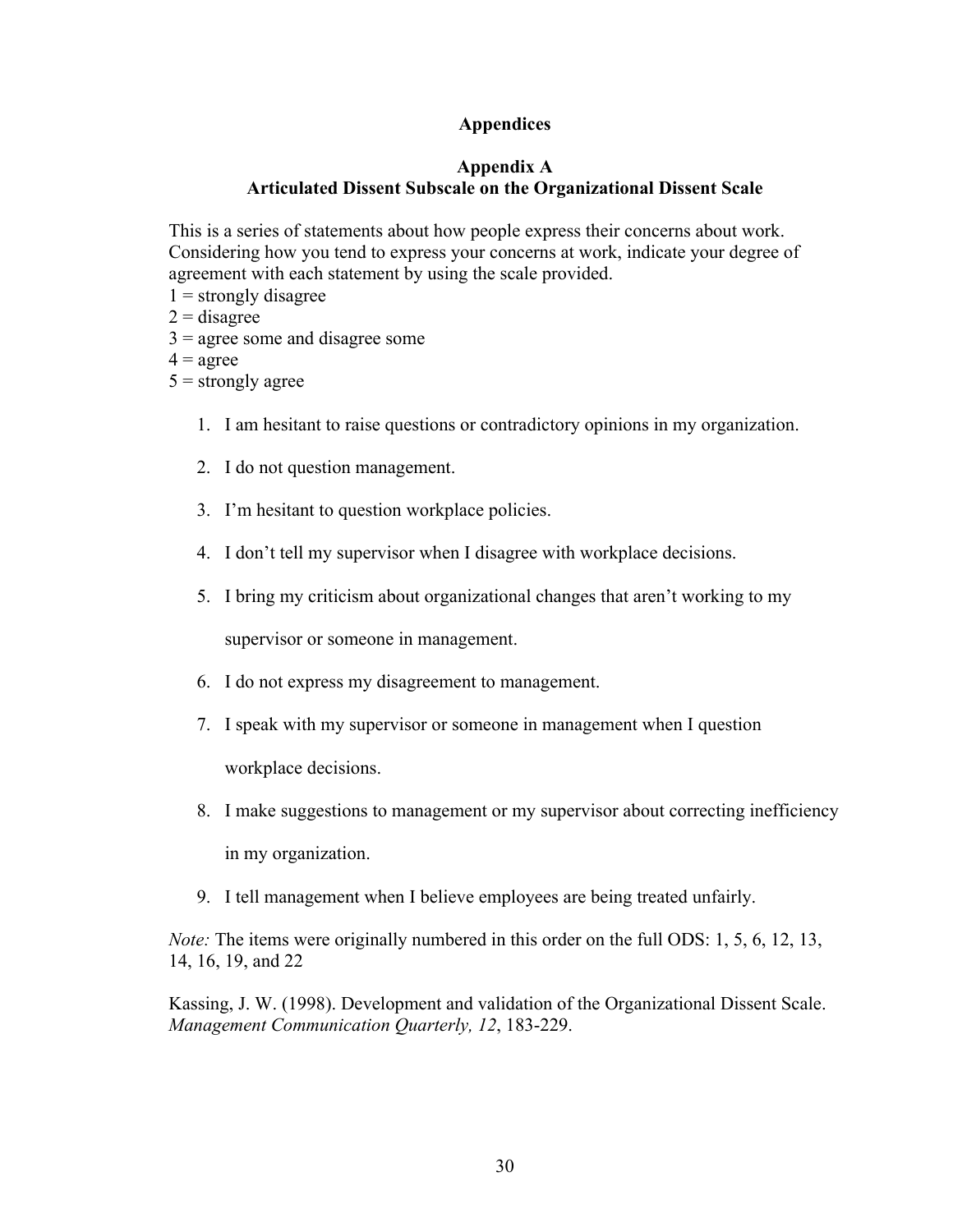## **Appendices**

### **Appendix A Articulated Dissent Subscale on the Organizational Dissent Scale**

This is a series of statements about how people express their concerns about work. Considering how you tend to express your concerns at work, indicate your degree of agreement with each statement by using the scale provided.

- $1 =$  strongly disagree
- $2 =$  disagree
- $3 =$  agree some and disagree some
- $4 = \text{agree}$
- $5 =$ strongly agree
	- 1. I am hesitant to raise questions or contradictory opinions in my organization.
	- 2. I do not question management.
	- 3. I'm hesitant to question workplace policies.
	- 4. I don't tell my supervisor when I disagree with workplace decisions.
	- 5. I bring my criticism about organizational changes that aren't working to my

supervisor or someone in management.

- 6. I do not express my disagreement to management.
- 7. I speak with my supervisor or someone in management when I question workplace decisions.
- 8. I make suggestions to management or my supervisor about correcting inefficiency

in my organization.

9. I tell management when I believe employees are being treated unfairly.

*Note:* The items were originally numbered in this order on the full ODS: 1, 5, 6, 12, 13, 14, 16, 19, and 22

Kassing, J. W. (1998). Development and validation of the Organizational Dissent Scale. *Management Communication Quarterly, 12*, 183-229.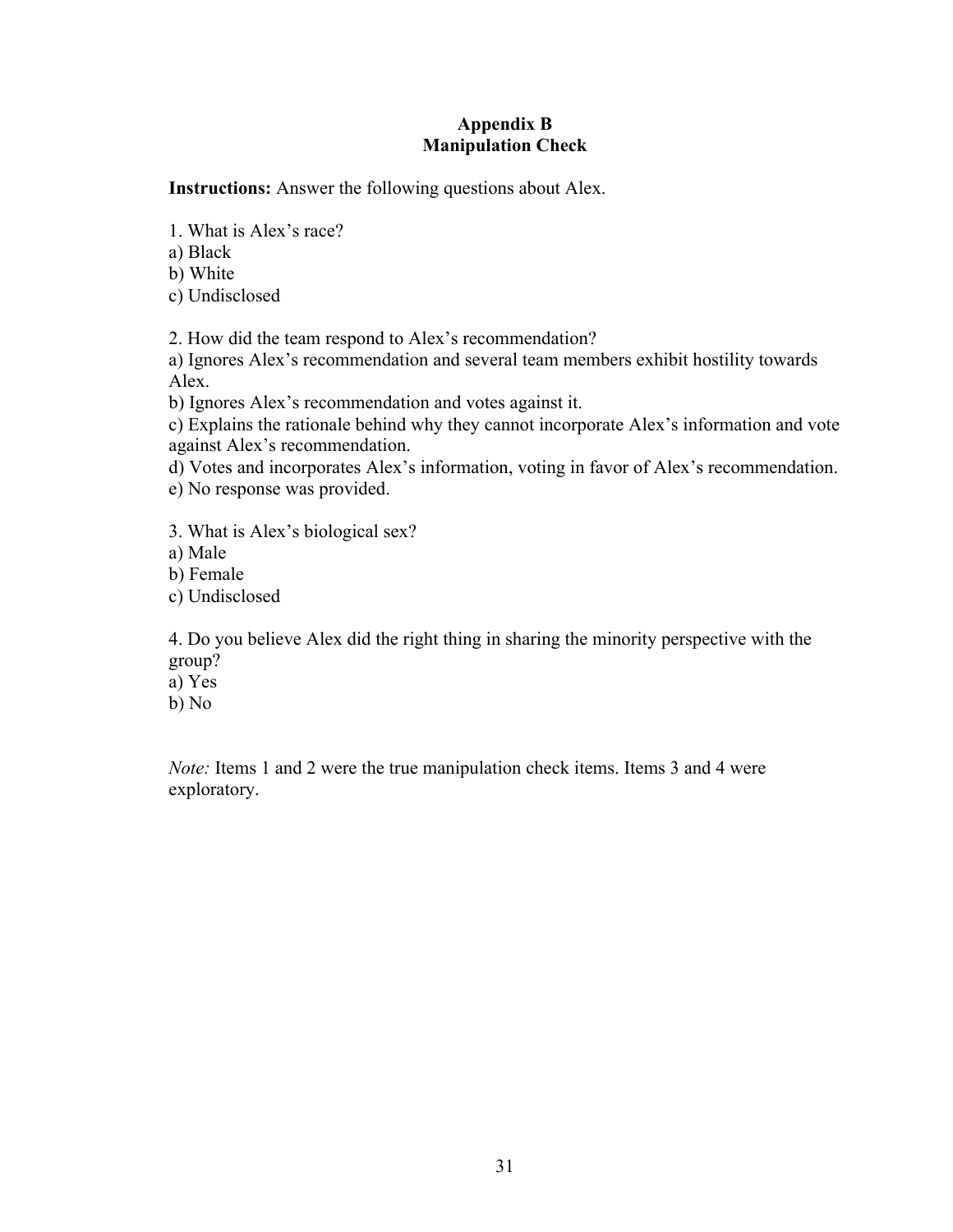### **Appendix B Manipulation Check**

**Instructions:** Answer the following questions about Alex.

1. What is Alex's race?

a) Black

b) White

c) Undisclosed

2. How did the team respond to Alex's recommendation?

a) Ignores Alex's recommendation and several team members exhibit hostility towards Alex.

b) Ignores Alex's recommendation and votes against it.

c) Explains the rationale behind why they cannot incorporate Alex's information and vote against Alex's recommendation.

d) Votes and incorporates Alex's information, voting in favor of Alex's recommendation. e) No response was provided.

3. What is Alex's biological sex?

a) Male

b) Female

c) Undisclosed

4. Do you believe Alex did the right thing in sharing the minority perspective with the group?

a) Yes

b) No

*Note:* Items 1 and 2 were the true manipulation check items. Items 3 and 4 were exploratory.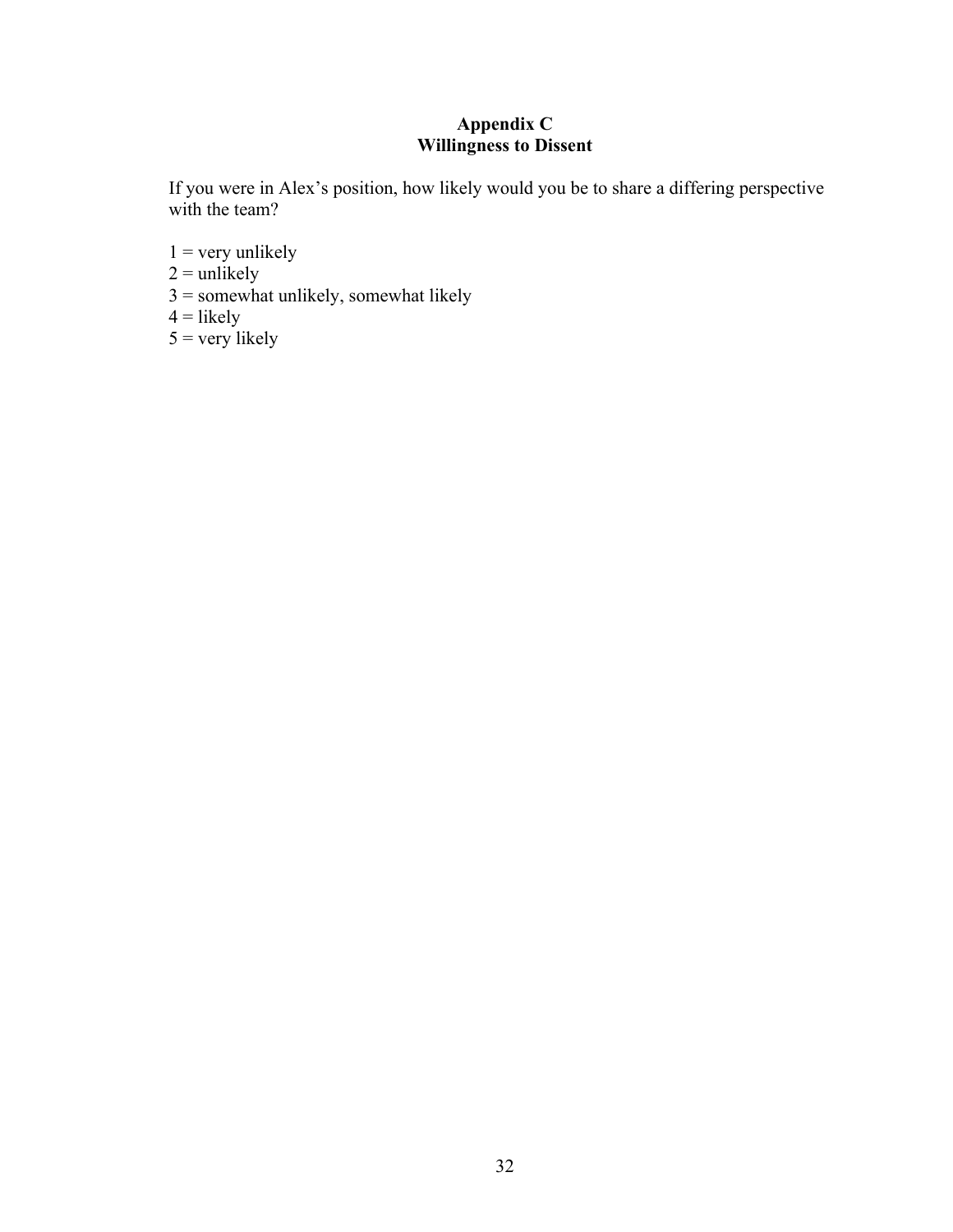# **Appendix C Willingness to Dissent**

If you were in Alex's position, how likely would you be to share a differing perspective with the team?

- $1 =$  very unlikely
- $2 =$  unlikely
- $3 =$ somewhat unlikely, somewhat likely
- $4 =$ likely
- $5 = \text{very likely}$